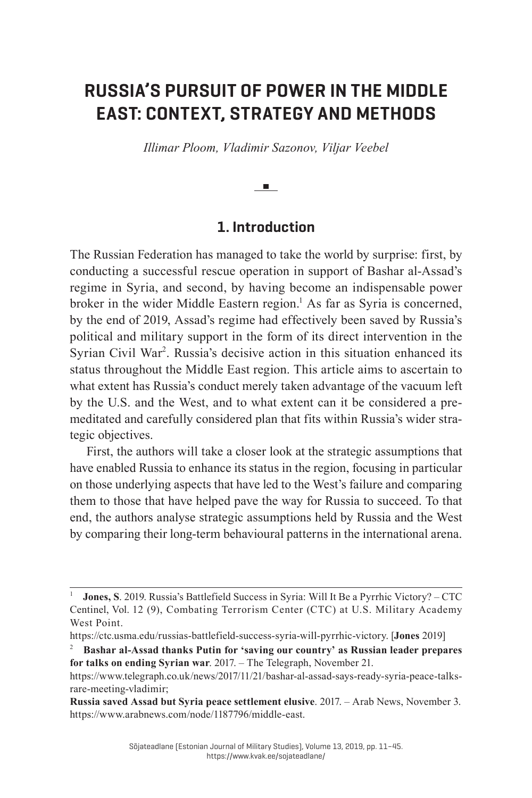# **RUSSIA'S PURSUIT OF POWER IN THE MIDDLE EAST: CONTEXT, STRATEGY AND METHODS**

*Illimar Ploom, Vladimir Sazonov, Viljar Veebel*

#### **Contract**

### **1. Introduction**

The Russian Federation has managed to take the world by surprise: first, by conducting a successful rescue operation in support of Bashar al-Assad's regime in Syria, and second, by having become an indispensable power broker in the wider Middle Eastern region.<sup>1</sup> As far as Syria is concerned, by the end of 2019, Assad's regime had effectively been saved by Russia's political and military support in the form of its direct intervention in the Syrian Civil War<sup>2</sup>. Russia's decisive action in this situation enhanced its status throughout the Middle East region. This article aims to ascertain to what extent has Russia's conduct merely taken advantage of the vacuum left by the U.S. and the West, and to what extent can it be considered a premeditated and carefully considered plan that fits within Russia's wider strategic objectives.

First, the authors will take a closer look at the strategic assumptions that have enabled Russia to enhance its status in the region, focusing in particular on those underlying aspects that have led to the West's failure and comparing them to those that have helped pave the way for Russia to succeed. To that end, the authors analyse strategic assumptions held by Russia and the West by comparing their long-term behavioural patterns in the international arena.

<sup>1</sup>**Jones, S**. 2019. Russia's Battlefield Success in Syria: Will It Be a Pyrrhic Victory? – CTC Centinel, Vol. 12 (9), Combating Terrorism Center (CTC) at U.S. Military Academy West Point.

https://ctc.usma.edu/russias-battlefield-success-syria-will-pyrrhic-victory. [**Jones** 2019]

<sup>2</sup>**Bashar al-Assad thanks Putin for 'saving our country' as Russian leader prepares for talks on ending Syrian war**. 2017. – The Telegraph, November 21.

https://www.telegraph.co.uk/news/2017/11/21/bashar-al-assad-says-ready-syria-peace-talksrare-meeting-vladimir;

**Russia saved Assad but Syria peace settlement elusive**. 2017. – Arab News, November 3. https://www.arabnews.com/node/1187796/middle-east.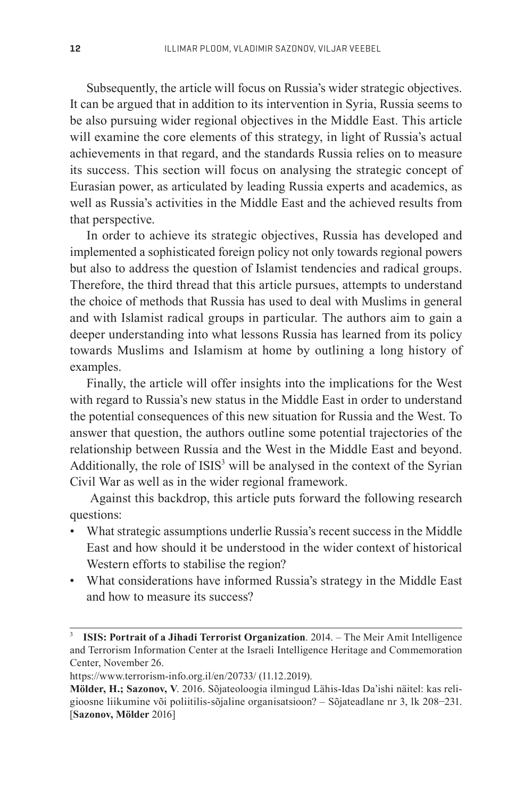Subsequently, the article will focus on Russia's wider strategic objectives. It can be argued that in addition to its intervention in Syria, Russia seems to be also pursuing wider regional objectives in the Middle East. This article will examine the core elements of this strategy, in light of Russia's actual achievements in that regard, and the standards Russia relies on to measure its success. This section will focus on analysing the strategic concept of Eurasian power, as articulated by leading Russia experts and academics, as well as Russia's activities in the Middle East and the achieved results from that perspective.

In order to achieve its strategic objectives, Russia has developed and implemented a sophisticated foreign policy not only towards regional powers but also to address the question of Islamist tendencies and radical groups. Therefore, the third thread that this article pursues, attempts to understand the choice of methods that Russia has used to deal with Muslims in general and with Islamist radical groups in particular. The authors aim to gain a deeper understanding into what lessons Russia has learned from its policy towards Muslims and Islamism at home by outlining a long history of examples.

Finally, the article will offer insights into the implications for the West with regard to Russia's new status in the Middle East in order to understand the potential consequences of this new situation for Russia and the West. To answer that question, the authors outline some potential trajectories of the relationship between Russia and the West in the Middle East and beyond. Additionally, the role of ISIS<sup>3</sup> will be analysed in the context of the Syrian Civil War as well as in the wider regional framework.

 Against this backdrop, this article puts forward the following research questions:

- What strategic assumptions underlie Russia's recent success in the Middle East and how should it be understood in the wider context of historical Western efforts to stabilise the region?
- What considerations have informed Russia's strategy in the Middle East and how to measure its success?

<sup>3</sup>**ISIS: Portrait of a Jihadi Terrorist Organization**. 2014. – The Meir Amit Intelligence and Terrorism Information Center at the Israeli Intelligence Heritage and Commemoration Center, November 26.

https://www.terrorism-info.org.il/en/20733/ (11.12.2019).

**Mölder, H.; Sazonov, V**. 2016. Sõjateoloogia ilmingud Lähis-Idas Da'ishi näitel: kas religioosne liikumine või poliitilis-sõjaline organisatsioon? – Sõjateadlane nr 3, lk 208−231. [**Sazonov, Mölder** 2016]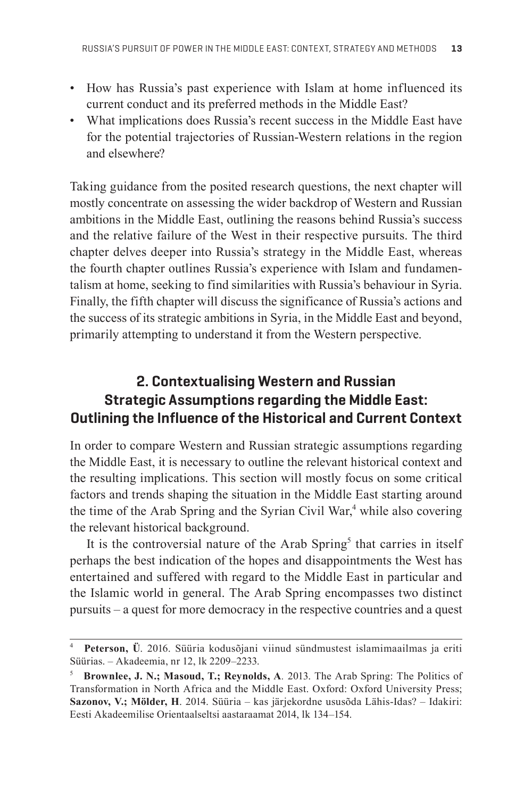- How has Russia's past experience with Islam at home influenced its current conduct and its preferred methods in the Middle East?
- What implications does Russia's recent success in the Middle East have for the potential trajectories of Russian-Western relations in the region and elsewhere?

Taking guidance from the posited research questions, the next chapter will mostly concentrate on assessing the wider backdrop of Western and Russian ambitions in the Middle East, outlining the reasons behind Russia's success and the relative failure of the West in their respective pursuits. The third chapter delves deeper into Russia's strategy in the Middle East, whereas the fourth chapter outlines Russia's experience with Islam and fundamentalism at home, seeking to find similarities with Russia's behaviour in Syria. Finally, the fifth chapter will discuss the significance of Russia's actions and the success of its strategic ambitions in Syria, in the Middle East and beyond, primarily attempting to understand it from the Western perspective.

## **2. Contextualising Western and Russian Strategic Assumptions regarding the Middle East: Outlining the Influence of the Historical and Current Context**

In order to compare Western and Russian strategic assumptions regarding the Middle East, it is necessary to outline the relevant historical context and the resulting implications. This section will mostly focus on some critical factors and trends shaping the situation in the Middle East starting around the time of the Arab Spring and the Syrian Civil War,<sup>4</sup> while also covering the relevant historical background.

It is the controversial nature of the Arab Spring<sup>5</sup> that carries in itself perhaps the best indication of the hopes and disappointments the West has entertained and suffered with regard to the Middle East in particular and the Islamic world in general. The Arab Spring encompasses two distinct pursuits – a quest for more democracy in the respective countries and a quest

<sup>4</sup>**Peterson, Ü**. 2016. Süüria kodusõjani viinud sündmustest islamimaailmas ja eriti Süürias. – Akadeemia, nr 12, lk 2209–2233.

<sup>5</sup>**Brownlee, J. N.; Masoud, T.; Reynolds, A***.* 2013. The Arab Spring: The Politics of Transformation in North Africa and the Middle East. Oxford: Oxford University Press; **Sazonov, V.; Mölder, H**. 2014. Süüria – kas järjekordne ususõda Lähis-Idas? – Idakiri: Eesti Akadeemilise Orientaalseltsi aastaraamat 2014, lk 134–154.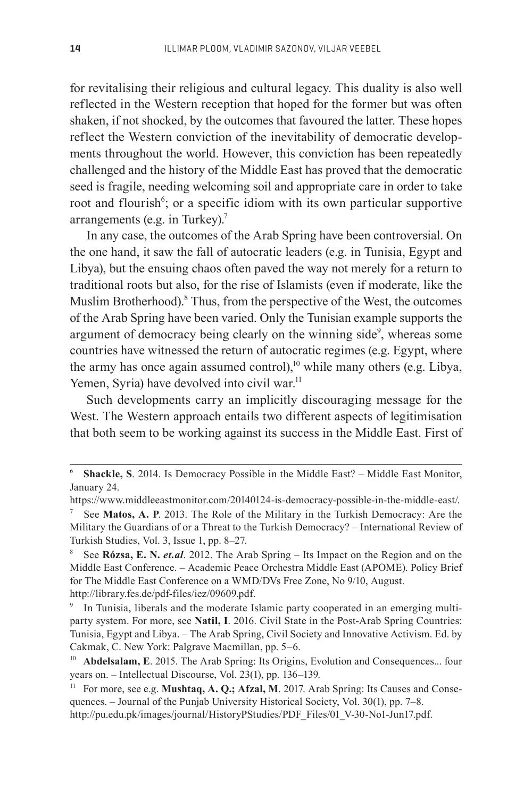for revitalising their religious and cultural legacy. This duality is also well reflected in the Western reception that hoped for the former but was often shaken, if not shocked, by the outcomes that favoured the latter. These hopes reflect the Western conviction of the inevitability of democratic developments throughout the world. However, this conviction has been repeatedly challenged and the history of the Middle East has proved that the democratic seed is fragile, needing welcoming soil and appropriate care in order to take root and flourish<sup>6</sup>; or a specific idiom with its own particular supportive arrangements (e.g. in Turkey).<sup>7</sup>

In any case, the outcomes of the Arab Spring have been controversial. On the one hand, it saw the fall of autocratic leaders (e.g. in Tunisia, Egypt and Libya), but the ensuing chaos often paved the way not merely for a return to traditional roots but also, for the rise of Islamists (even if moderate, like the Muslim Brotherhood).<sup>8</sup> Thus, from the perspective of the West, the outcomes of the Arab Spring have been varied. Only the Tunisian example supports the argument of democracy being clearly on the winning side<sup>9</sup>, whereas some countries have witnessed the return of autocratic regimes (e.g. Egypt, where the army has once again assumed control),<sup>10</sup> while many others (e.g. Libya, Yemen, Syria) have devolved into civil war.<sup>11</sup>

Such developments carry an implicitly discouraging message for the West. The Western approach entails two different aspects of legitimisation that both seem to be working against its success in the Middle East. First of

<sup>6</sup>**Shackle, S**. 2014. Is Democracy Possible in the Middle East? – Middle East Monitor, January 24.

https://www.middleeastmonitor.com/20140124-is-democracy-possible-in-the-middle-east/.

<sup>7</sup> See **Matos, A. P**. 2013. The Role of the Military in the Turkish Democracy: Are the Military the Guardians of or a Threat to the Turkish Democracy? – International Review of Turkish Studies, Vol. 3, Issue 1, pp. 8–27.

<sup>8</sup> See **Rózsa, E. N.** *et.al*. 2012. The Arab Spring – Its Impact on the Region and on the Middle East Conference. – Academic Peace Orchestra Middle East (APOME). Policy Brief for The Middle East Conference on a WMD/DVs Free Zone, No 9/10, August. http://library.fes.de/pdf-files/iez/09609.pdf.

In Tunisia, liberals and the moderate Islamic party cooperated in an emerging multiparty system. For more, see **Natil, I**. 2016. Civil State in the Post-Arab Spring Countries: Tunisia, Egypt and Libya. – The Arab Spring, Civil Society and Innovative Activism. Ed. by Cakmak, C. New York: Palgrave Macmillan, pp. 5–6.

<sup>&</sup>lt;sup>10</sup> Abdelsalam, E. 2015. The Arab Spring: Its Origins, Evolution and Consequences... four years on. – Intellectual Discourse, Vol. 23(1), pp. 136–139.

<sup>&</sup>lt;sup>11</sup> For more, see e.g. **Mushtaq, A. Q.; Afzal, M**. 2017. Arab Spring: Its Causes and Consequences. – Journal of the Punjab University Historical Society, Vol. 30(1), pp. 7–8. http://pu.edu.pk/images/journal/HistoryPStudies/PDF\_Files/01\_V-30-No1-Jun17.pdf.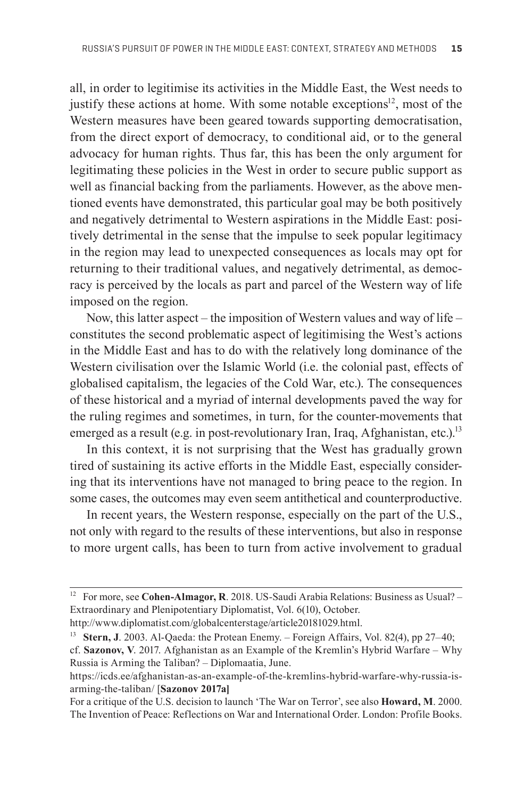all, in order to legitimise its activities in the Middle East, the West needs to justify these actions at home. With some notable exceptions $12$ , most of the Western measures have been geared towards supporting democratisation, from the direct export of democracy, to conditional aid, or to the general advocacy for human rights. Thus far, this has been the only argument for legitimating these policies in the West in order to secure public support as well as financial backing from the parliaments. However, as the above mentioned events have demonstrated, this particular goal may be both positively and negatively detrimental to Western aspirations in the Middle East: positively detrimental in the sense that the impulse to seek popular legitimacy in the region may lead to unexpected consequences as locals may opt for returning to their traditional values, and negatively detrimental, as democracy is perceived by the locals as part and parcel of the Western way of life imposed on the region.

Now, this latter aspect – the imposition of Western values and way of life – constitutes the second problematic aspect of legitimising the West's actions in the Middle East and has to do with the relatively long dominance of the Western civilisation over the Islamic World (i.e. the colonial past, effects of globalised capitalism, the legacies of the Cold War, etc.). The consequences of these historical and a myriad of internal developments paved the way for the ruling regimes and sometimes, in turn, for the counter-movements that emerged as a result (e.g. in post-revolutionary Iran, Iraq, Afghanistan, etc.).<sup>13</sup>

In this context, it is not surprising that the West has gradually grown tired of sustaining its active efforts in the Middle East, especially considering that its interventions have not managed to bring peace to the region. In some cases, the outcomes may even seem antithetical and counterproductive.

In recent years, the Western response, especially on the part of the U.S., not only with regard to the results of these interventions, but also in response to more urgent calls, has been to turn from active involvement to gradual

<sup>&</sup>lt;sup>12</sup> For more, see Cohen-Almagor, R. 2018. US-Saudi Arabia Relations: Business as Usual? – Extraordinary and Plenipotentiary Diplomatist, Vol. 6(10), October.

http://www.diplomatist.com/globalcenterstage/article20181029.html.

<sup>13</sup>**Stern, J**. 2003. Al-Qaeda: the Protean Enemy. – Foreign Affairs, Vol. 82(4), pp 27–40; cf. **Sazonov, V**. 2017. Afghanistan as an Example of the Kremlin's Hybrid Warfare – Why Russia is Arming the Taliban? – Diplomaatia, June.

https://icds.ee/afghanistan-as-an-example-of-the-kremlins-hybrid-warfare-why-russia-isarming-the-taliban/ [**Sazonov 2017a]**

For a critique of the U.S. decision to launch 'The War on Terror', see also **Howard, M**. 2000. The Invention of Peace: Reflections on War and International Order. London: Profile Books.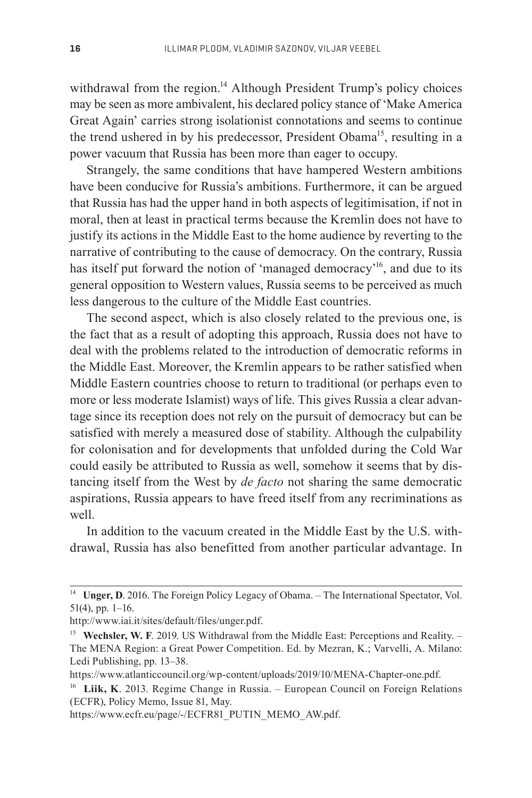withdrawal from the region.<sup>14</sup> Although President Trump's policy choices may be seen as more ambivalent, his declared policy stance of 'Make America Great Again' carries strong isolationist connotations and seems to continue the trend ushered in by his predecessor, President Obama<sup>15</sup>, resulting in a power vacuum that Russia has been more than eager to occupy.

Strangely, the same conditions that have hampered Western ambitions have been conducive for Russia's ambitions. Furthermore, it can be argued that Russia has had the upper hand in both aspects of legitimisation, if not in moral, then at least in practical terms because the Kremlin does not have to justify its actions in the Middle East to the home audience by reverting to the narrative of contributing to the cause of democracy. On the contrary, Russia has itself put forward the notion of 'managed democracy'16, and due to its general opposition to Western values, Russia seems to be perceived as much less dangerous to the culture of the Middle East countries.

The second aspect, which is also closely related to the previous one, is the fact that as a result of adopting this approach, Russia does not have to deal with the problems related to the introduction of democratic reforms in the Middle East. Moreover, the Kremlin appears to be rather satisfied when Middle Eastern countries choose to return to traditional (or perhaps even to more or less moderate Islamist) ways of life. This gives Russia a clear advantage since its reception does not rely on the pursuit of democracy but can be satisfied with merely a measured dose of stability. Although the culpability for colonisation and for developments that unfolded during the Cold War could easily be attributed to Russia as well, somehow it seems that by distancing itself from the West by *de facto* not sharing the same democratic aspirations, Russia appears to have freed itself from any recriminations as well.

In addition to the vacuum created in the Middle East by the U.S. withdrawal, Russia has also benefitted from another particular advantage. In

<sup>&</sup>lt;sup>14</sup> Unger, D. 2016. The Foreign Policy Legacy of Obama. – The International Spectator, Vol. 51(4), pp. 1–16.

http://www.iai.it/sites/default/files/unger.pdf.

<sup>&</sup>lt;sup>15</sup> Wechsler, W. F. 2019. US Withdrawal from the Middle East: Perceptions and Reality. – The MENA Region: a Great Power Competition. Ed. by Mezran, K.; Varvelli, A. Milano: Ledi Publishing, pp. 13–38.

https://www.atlanticcouncil.org/wp-content/uploads/2019/10/MENA-Chapter-one.pdf.

<sup>&</sup>lt;sup>16</sup> Liik, K. 2013. Regime Change in Russia. – European Council on Foreign Relations (ECFR), Policy Memo, Issue 81, May.

https://www.ecfr.eu/page/-/ECFR81\_PUTIN\_MEMO\_AW.pdf.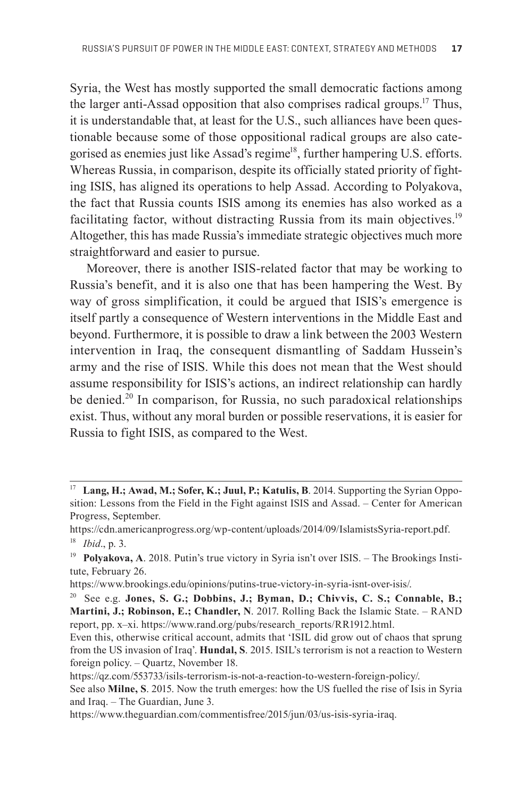Syria, the West has mostly supported the small democratic factions among the larger anti-Assad opposition that also comprises radical groups.17 Thus, it is understandable that, at least for the U.S., such alliances have been question able because some of those oppositional radical groups are also categorised as enemies just like Assad's regime<sup>18</sup>, further hampering U.S. efforts. Whereas Russia, in comparison, despite its officially stated priority of fighting ISIS, has aligned its operations to help Assad. According to Polyakova, the fact that Russia counts ISIS among its enemies has also worked as a facilitating factor, without distracting Russia from its main objectives.<sup>19</sup> Altogether, this has made Russia's immediate strategic objectives much more straightforward and easier to pursue.

Moreover, there is another ISIS-related factor that may be working to Russia's benefit, and it is also one that has been hampering the West. By way of gross simplification, it could be argued that ISIS's emergence is itself partly a consequence of Western interventions in the Middle East and beyond. Furthermore, it is possible to draw a link between the 2003 Western intervention in Iraq, the consequent dismantling of Saddam Hussein's army and the rise of ISIS. While this does not mean that the West should assume responsibility for ISIS's actions, an indirect relationship can hardly be denied.<sup>20</sup> In comparison, for Russia, no such paradoxical relationships exist. Thus, without any moral burden or possible reservations, it is easier for Russia to fight ISIS, as compared to the West.

<sup>&</sup>lt;sup>17</sup> Lang, H.; Awad, M.; Sofer, K.; Juul, P.; Katulis, B. 2014. Supporting the Syrian Opposition: Lessons from the Field in the Fight against ISIS and Assad. – Center for American Progress, September.

https://cdn.americanprogress.org/wp-content/uploads/2014/09/IslamistsSyria-report.pdf. <sup>18</sup>*Ibid*., p. 3.

<sup>&</sup>lt;sup>19</sup> **Polyakova, A.** 2018. Putin's true victory in Syria isn't over ISIS. – The Brookings Institute, February 26.

https://www.brookings.edu/opinions/putins-true-victory-in-syria-isnt-over-isis/.

<sup>20</sup> See e.g. **Jones, S. G.; Dobbins, J.; Byman, D.; Chivvis, C. S.; Connable, B.; Martini, J.; Robinson, E.; Chandler, N**. 2017. Rolling Back the Islamic State. – RAND report, pp. x–xi. https://www.rand.org/pubs/research\_reports/RR1912.html.

Even this, otherwise critical account, admits that 'ISIL did grow out of chaos that sprung from the US invasion of Iraq'. **Hundal, S**. 2015. ISIL's terrorism is not a reaction to Western foreign policy. – Quartz, November 18.

https://qz.com/553733/isils-terrorism-is-not-a-reaction-to-western-foreign-policy/.

See also **Milne, S**. 2015. Now the truth emerges: how the US fuelled the rise of Isis in Syria and Iraq. – The Guardian, June 3.

https://www.theguardian.com/commentisfree/2015/jun/03/us-isis-syria-iraq.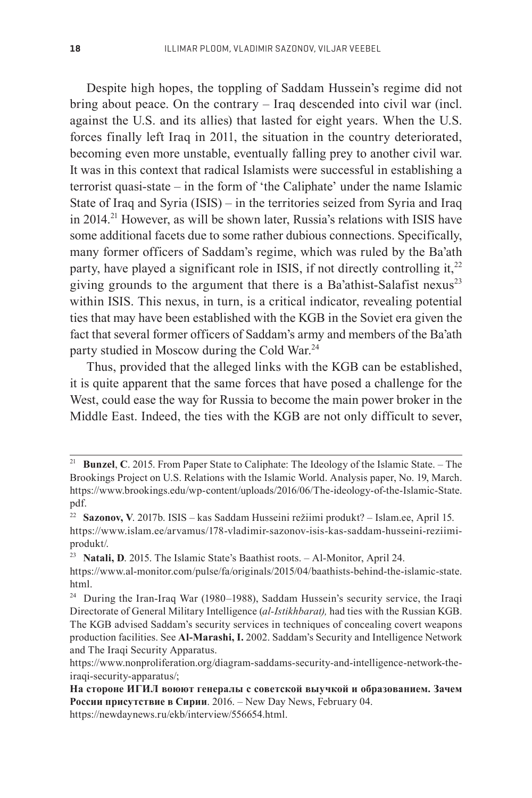Despite high hopes, the toppling of Saddam Hussein's regime did not bring about peace. On the contrary – Iraq descended into civil war (incl. against the U.S. and its allies) that lasted for eight years. When the U.S. forces finally left Iraq in 2011, the situation in the country deteriorated, becoming even more unstable, eventually falling prey to another civil war. It was in this context that radical Islamists were successful in establishing a terrorist quasi-state – in the form of 'the Caliphate' under the name Islamic State of Iraq and Syria (ISIS) – in the territories seized from Syria and Iraq in 2014.<sup>21</sup> However, as will be shown later, Russia's relations with ISIS have some additional facets due to some rather dubious connections. Specifically, many former officers of Saddam's regime, which was ruled by the Ba'ath party, have played a significant role in ISIS, if not directly controlling it, $^{22}$ giving grounds to the argument that there is a Ba'athist-Salafist nexus $^{23}$ within ISIS. This nexus, in turn, is a critical indicator, revealing potential ties that may have been established with the KGB in the Soviet era given the fact that several former officers of Saddam's army and members of the Ba'ath party studied in Moscow during the Cold War.<sup>24</sup>

Thus, provided that the alleged links with the KGB can be established, it is quite apparent that the same forces that have posed a challenge for the West, could ease the way for Russia to become the main power broker in the Middle East. Indeed, the ties with the KGB are not only difficult to sever,

https://newdaynews.ru/ekb/interview/556654.html.

<sup>&</sup>lt;sup>21</sup> Bunzel, C. 2015. From Paper State to Caliphate: The Ideology of the Islamic State. – The Brookings Project on U.S. Relations with the Islamic World. Analysis paper, No. 19, March. https://www.brookings.edu/wp-content/uploads/2016/06/The-ideology-of-the-Islamic-State. pdf.

<sup>22</sup>**Sazonov, V**. 2017b. ISIS – kas Saddam Husseini režiimi produkt? – Islam.ee, April 15. https://www.islam.ee/arvamus/178-vladimir-sazonov-isis-kas-saddam-husseini-reziimiprodukt/.

<sup>&</sup>lt;sup>23</sup> Natali, D. 2015. The Islamic State's Baathist roots. - Al-Monitor, April 24. https://www.al-monitor.com/pulse/fa/originals/2015/04/baathists-behind-the-islamic-state. html.

<sup>&</sup>lt;sup>24</sup> During the Iran-Iraq War (1980–1988), Saddam Hussein's security service, the Iraqi Directorate of General Military Intelligence (*al-Istikhbarat),* had ties with the Russian KGB. The KGB advised Saddam's security services in techniques of concealing covert weapons production facilities. See **Al-Marashi, I.** 2002. Saddam's Security and Intelligence Network and The Iraqi Security Apparatus.

https://www.nonproliferation.org/diagram-saddams-security-and-intelligence-network-theiraqi-security-apparatus/;

**На стороне ИГИЛ воюют генералы с советской выучкой и образованием. Зачем России присутствие в Сирии**. 2016. – New Day News, February 04.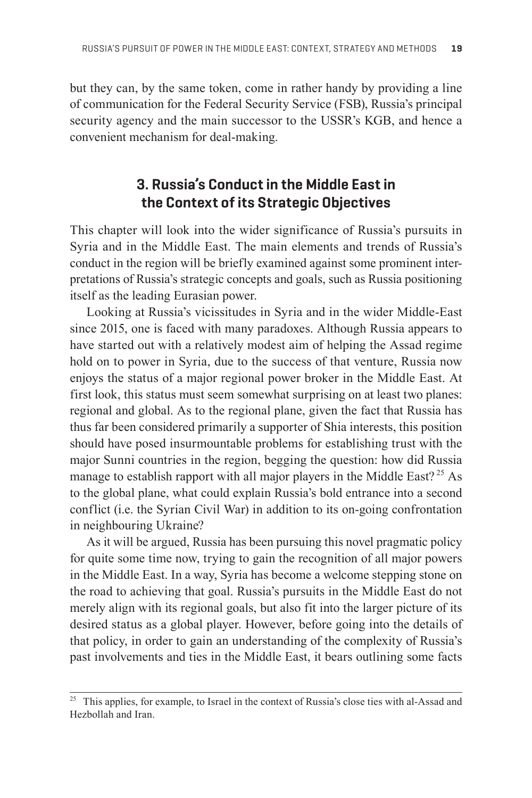but they can, by the same token, come in rather handy by providing a line of communication for the Federal Security Service (FSB), Russia's principal security agency and the main successor to the USSR's KGB, and hence a convenient mechanism for deal-making.

## **3. Russia's Conduct in the Middle East in the Context of its Strategic Objectives**

This chapter will look into the wider significance of Russia's pursuits in Syria and in the Middle East. The main elements and trends of Russia's conduct in the region will be briefly examined against some prominent interpretations of Russia's strategic concepts and goals, such as Russia positioning itself as the leading Eurasian power.

Looking at Russia's vicissitudes in Syria and in the wider Middle-East since 2015, one is faced with many paradoxes. Although Russia appears to have started out with a relatively modest aim of helping the Assad regime hold on to power in Syria, due to the success of that venture, Russia now enjoys the status of a major regional power broker in the Middle East. At first look, this status must seem somewhat surprising on at least two planes: regional and global. As to the regional plane, given the fact that Russia has thus far been considered primarily a supporter of Shia interests, this position should have posed insurmountable problems for establishing trust with the major Sunni countries in the region, begging the question: how did Russia manage to establish rapport with all major players in the Middle East?<sup>25</sup> As to the global plane, what could explain Russia's bold entrance into a second conflict (i.e. the Syrian Civil War) in addition to its on-going confrontation in neighbouring Ukraine?

As it will be argued, Russia has been pursuing this novel pragmatic policy for quite some time now, trying to gain the recognition of all major powers in the Middle East. In a way, Syria has become a welcome stepping stone on the road to achieving that goal. Russia's pursuits in the Middle East do not merely align with its regional goals, but also fit into the larger picture of its desired status as a global player. However, before going into the details of that policy, in order to gain an understanding of the complexity of Russia's past involvements and ties in the Middle East, it bears outlining some facts

<sup>&</sup>lt;sup>25</sup> This applies, for example, to Israel in the context of Russia's close ties with al-Assad and Hezbollah and Iran.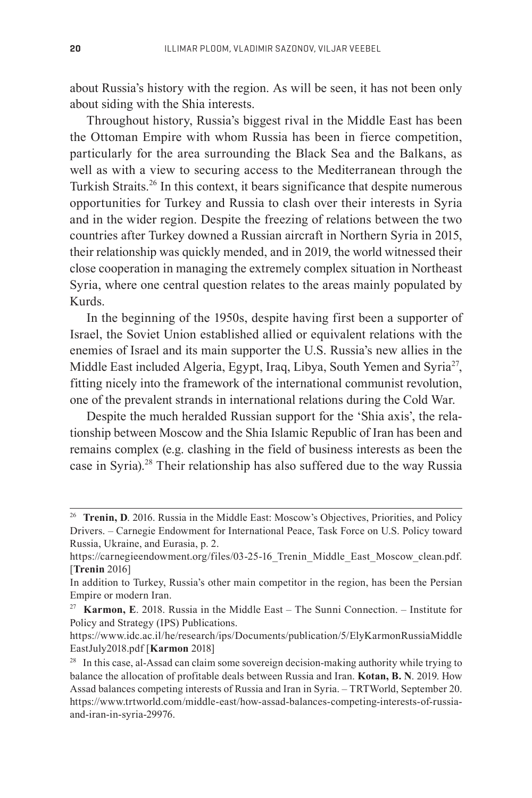about Russia's history with the region. As will be seen, it has not been only about siding with the Shia interests.

Throughout history, Russia's biggest rival in the Middle East has been the Ottoman Empire with whom Russia has been in fierce competition, particularly for the area surrounding the Black Sea and the Balkans, as well as with a view to securing access to the Mediterranean through the Turkish Straits.<sup>26</sup> In this context, it bears significance that despite numerous opportunities for Turkey and Russia to clash over their interests in Syria and in the wider region. Despite the freezing of relations between the two countries after Turkey downed a Russian aircraft in Northern Syria in 2015, their relationship was quickly mended, and in 2019, the world witnessed their close cooperation in managing the extremely complex situation in Northeast Syria, where one central question relates to the areas mainly populated by Kurds.

In the beginning of the 1950s, despite having first been a supporter of Israel, the Soviet Union established allied or equivalent relations with the enemies of Israel and its main supporter the U.S. Russia's new allies in the Middle East included Algeria, Egypt, Iraq, Libya, South Yemen and Syria<sup>27</sup>, fitting nicely into the framework of the international communist revolution, one of the prevalent strands in international relations during the Cold War.

Despite the much heralded Russian support for the 'Shia axis', the relationship between Moscow and the Shia Islamic Republic of Iran has been and remains complex (e.g. clashing in the field of business interests as been the case in Syria).<sup>28</sup> Their relationship has also suffered due to the way Russia

<sup>&</sup>lt;sup>26</sup> Trenin, D. 2016. Russia in the Middle East: Moscow's Objectives, Priorities, and Policy Drivers. – Carnegie Endowment for International Peace, Task Force on U.S. Policy toward Russia, Ukraine, and Eurasia, p. 2.

https://carnegieendowment.org/files/03-25-16 Trenin\_Middle\_East\_Moscow\_clean.pdf. [**Trenin** 2016]

In addition to Turkey, Russia's other main competitor in the region, has been the Persian Empire or modern Iran.

<sup>27</sup>**Karmon, E**. 2018. Russia in the Middle East – The Sunni Connection. – Institute for Policy and Strategy (IPS) Publications.

https://www.idc.ac.il/he/research/ips/Documents/publication/5/ElyKarmonRussiaMiddle EastJuly2018.pdf [**Karmon** 2018]

 $28$  In this case, al-Assad can claim some sovereign decision-making authority while trying to balance the allocation of profitable deals between Russia and Iran. **Kotan, B. N**. 2019. How Assad balances competing interests of Russia and Iran in Syria. – TRTWorld, September 20. https://www.trtworld.com/middle-east/how-assad-balances-competing-interests-of-russiaand-iran-in-syria-29976.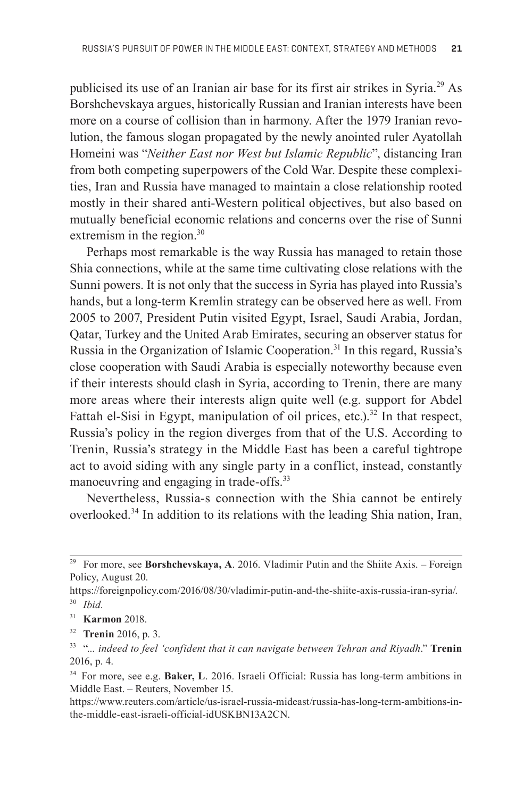publicised its use of an Iranian air base for its first air strikes in Syria.29 As Borshchevskaya argues, historically Russian and Iranian interests have been more on a course of collision than in harmony. After the 1979 Iranian revolution, the famous slogan propagated by the newly anointed ruler Ayatollah Homeini was "*Neither East nor West but Islamic Republic*", distancing Iran from both competing superpowers of the Cold War. Despite these complexities, Iran and Russia have managed to maintain a close relationship rooted mostly in their shared anti-Western political objectives, but also based on mutually beneficial economic relations and concerns over the rise of Sunni extremism in the region.<sup>30</sup>

Perhaps most remarkable is the way Russia has managed to retain those Shia connections, while at the same time cultivating close relations with the Sunni powers. It is not only that the success in Syria has played into Russia's hands, but a long-term Kremlin strategy can be observed here as well. From 2005 to 2007, President Putin visited Egypt, Israel, Saudi Arabia, Jordan, Qatar, Turkey and the United Arab Emirates, securing an observer status for Russia in the Organization of Islamic Cooperation.<sup>31</sup> In this regard, Russia's close cooperation with Saudi Arabia is especially noteworthy because even if their interests should clash in Syria, according to Trenin, there are many more areas where their interests align quite well (e.g. support for Abdel Fattah el-Sisi in Egypt, manipulation of oil prices, etc.).<sup>32</sup> In that respect, Russia's policy in the region diverges from that of the U.S. According to Trenin, Russia's strategy in the Middle East has been a careful tightrope act to avoid siding with any single party in a conflict, instead, constantly manoeuvring and engaging in trade-offs.<sup>33</sup>

Nevertheless, Russia-s connection with the Shia cannot be entirely overlooked.<sup>34</sup> In addition to its relations with the leading Shia nation, Iran,

<sup>&</sup>lt;sup>29</sup> For more, see Borshchevskaya, A. 2016. Vladimir Putin and the Shiite Axis. – Foreign Policy, August 20.

https://foreignpolicy.com/2016/08/30/vladimir-putin-and-the-shiite-axis-russia-iran-syria/. <sup>30</sup>*Ibid.*

<sup>31</sup>**Karmon** 2018.

<sup>32</sup>**Trenin** 2016, p. 3.

<sup>33 &</sup>quot;*... indeed to feel 'confident that it can navigate between Tehran and Riyadh*." **Trenin**  2016, p. 4.

<sup>34</sup> For more, see e.g. **Baker, L**. 2016. Israeli Official: Russia has long-term ambitions in Middle East. – Reuters, November 15.

https://www.reuters.com/article/us-israel-russia-mideast/russia-has-long-term-ambitions-inthe-middle-east-israeli-official-idUSKBN13A2CN.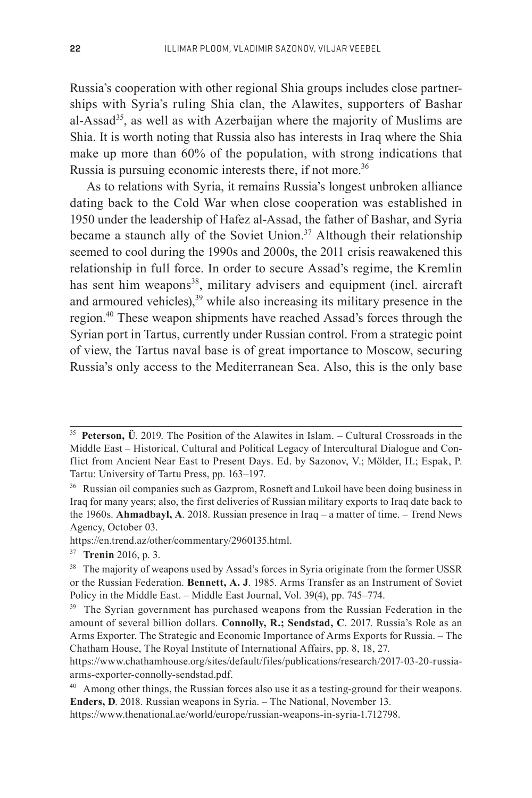Russia's cooperation with other regional Shia groups includes close partnerships with Syria's ruling Shia clan, the Alawites, supporters of Bashar al-Assad<sup>35</sup>, as well as with Azerbaijan where the majority of Muslims are Shia. It is worth noting that Russia also has interests in Iraq where the Shia make up more than 60% of the population, with strong indications that Russia is pursuing economic interests there, if not more.<sup>36</sup>

As to relations with Syria, it remains Russia's longest unbroken alliance dating back to the Cold War when close cooperation was established in 1950 under the leadership of Hafez al-Assad, the father of Bashar, and Syria became a staunch ally of the Soviet Union.<sup>37</sup> Although their relationship seemed to cool during the 1990s and 2000s, the 2011 crisis reawakened this relationship in full force. In order to secure Assad's regime, the Kremlin has sent him weapons<sup>38</sup>, military advisers and equipment (incl. aircraft and armoured vehicles), $39$  while also increasing its military presence in the region.40 These weapon shipments have reached Assad's forces through the Syrian port in Tartus, currently under Russian control. From a strategic point of view, the Tartus naval base is of great importance to Moscow, securing Russia's only access to the Mediterranean Sea. Also, this is the only base

https://en.trend.az/other/commentary/2960135.html.

<sup>35</sup>**Peterson, Ü**. 2019. The Position of the Alawites in Islam. – Cultural Crossroads in the Middle East – Historical, Cultural and Political Legacy of Intercultural Dialogue and Conflict from Ancient Near East to Present Days. Ed. by Sazonov, V.; Mölder, H.; Espak, P. Tartu: University of Tartu Press, pp. 163–197.

<sup>&</sup>lt;sup>36</sup> Russian oil companies such as Gazprom, Rosneft and Lukoil have been doing business in Iraq for many years; also, the first deliveries of Russian military exports to Iraq date back to the 1960s. **Ahmadbayl, A**. 2018. Russian presence in Iraq – a matter of time. – Trend News Agency, October 03.

<sup>37</sup>**Trenin** 2016, p. 3.

<sup>&</sup>lt;sup>38</sup> The majority of weapons used by Assad's forces in Syria originate from the former USSR or the Russian Federation. **Bennett, A. J**. 1985. Arms Transfer as an Instrument of Soviet Policy in the Middle East. – Middle East Journal, Vol. 39(4), pp. 745–774.

<sup>&</sup>lt;sup>39</sup> The Syrian government has purchased weapons from the Russian Federation in the amount of several billion dollars. **Connolly, R.; Sendstad, C**. 2017. Russia's Role as an Arms Exporter. The Strategic and Economic Importance of Arms Exports for Russia. – The Chatham House, The Royal Institute of International Affairs, pp. 8, 18, 27.

https://www.chathamhouse.org/sites/default/files/publications/research/2017-03-20-russiaarms-exporter-connolly-sendstad.pdf.

<sup>&</sup>lt;sup>40</sup> Among other things, the Russian forces also use it as a testing-ground for their weapons. **Enders, D**. 2018. Russian weapons in Syria. – The National, November 13.

https://www.thenational.ae/world/europe/russian-weapons-in-syria-1.712798.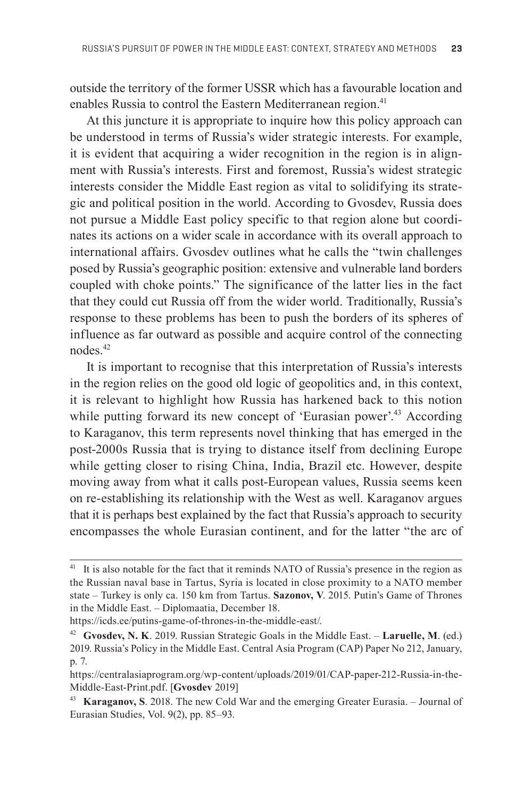outside the territory of the former USSR which has a favourable location and enables Russia to control the Eastern Mediterranean region.<sup>41</sup>

At this juncture it is appropriate to inquire how this policy approach can be understood in terms of Russia's wider strategic interests. For example, it is evident that acquiring a wider recognition in the region is in alignment with Russia's interests. First and foremost, Russia's widest strategic interests consider the Middle East region as vital to solidifying its strategic and political position in the world. According to Gvosdev, Russia does not pursue a Middle East policy specific to that region alone but coordinates its actions on a wider scale in accordance with its overall approach to international affairs. Gvosdev outlines what he calls the "twin challenges" posed by Russia's geographic position: extensive and vulnerable land borders coupled with choke points." The significance of the latter lies in the fact that they could cut Russia off from the wider world. Traditionally, Russia's response to these problems has been to push the borders of its spheres of influence as far outward as possible and acquire control of the connecting nodes.42

It is important to recognise that this interpretation of Russia's interests in the region relies on the good old logic of geopolitics and, in this context, it is relevant to highlight how Russia has harkened back to this notion while putting forward its new concept of 'Eurasian power'.<sup>43</sup> According to Karaganov, this term represents novel thinking that has emerged in the post-2000s Russia that is trying to distance itself from declining Europe while getting closer to rising China, India, Brazil etc. However, despite moving away from what it calls post-European values, Russia seems keen on re-establishing its relationship with the West as well. Karaganov argues that it is perhaps best explained by the fact that Russia's approach to security encompasses the whole Eurasian continent, and for the latter "the arc of

<sup>&</sup>lt;sup>41</sup> It is also notable for the fact that it reminds NATO of Russia's presence in the region as the Russian naval base in Tartus, Syria is located in close proximity to a NATO member state – Turkey is only ca. 150 km from Tartus. **Sazonov, V**. 2015. Putin's Game of Thrones in the Middle East. – Diplomaatia, December 18.

https://icds.ee/putins-game-of-thrones-in-the-middle-east/.

<sup>42</sup>**Gvosdev, N. K**. 2019. Russian Strategic Goals in the Middle East. – **Laruelle, M**. (ed.) 2019. Russia's Policy in the Middle East. Central Asia Program (CAP) Paper No 212, January, p. 7.

https://centralasiaprogram.org/wp-content/uploads/2019/01/CAP-paper-212-Russia-in-the-Middle-East-Print.pdf. [**Gvosdev** 2019]

<sup>43</sup>**Karaganov, S**. 2018. The new Cold War and the emerging Greater Eurasia. – Journal of Eurasian Studies, Vol. 9(2), pp. 85–93.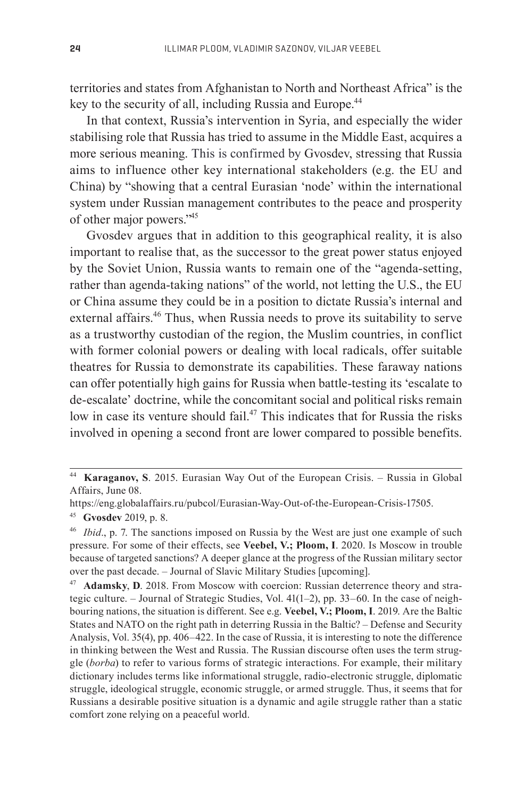territories and states from Afghanistan to North and Northeast Africa" is the key to the security of all, including Russia and Europe.<sup>44</sup>

In that context, Russia's intervention in Syria, and especially the wider stabilising role that Russia has tried to assume in the Middle East, acquires a more serious meaning. This is confirmed by Gvosdev, stressing that Russia aims to influence other key international stakeholders (e.g. the EU and China) by "showing that a central Eurasian 'node' within the international system under Russian management contributes to the peace and prosperity of other major powers."45

Gvosdev argues that in addition to this geographical reality, it is also important to realise that, as the successor to the great power status enjoyed by the Soviet Union, Russia wants to remain one of the "agenda-setting, rather than agenda-taking nations" of the world, not letting the U.S., the EU or China assume they could be in a position to dictate Russia's internal and external affairs.<sup>46</sup> Thus, when Russia needs to prove its suitability to serve as a trustworthy custodian of the region, the Muslim countries, in conflict with former colonial powers or dealing with local radicals, offer suitable theatres for Russia to demonstrate its capabilities. These faraway nations can offer potentially high gains for Russia when battle-testing its 'escalate to de-escalate' doctrine, while the concomitant social and political risks remain low in case its venture should fail.<sup>47</sup> This indicates that for Russia the risks involved in opening a second front are lower compared to possible benefits.

<sup>44</sup>**Karaganov, S**. 2015. Eurasian Way Out of the European Crisis. – Russia in Global Affairs, June 08.

https://eng.globalaffairs.ru/pubcol/Eurasian-Way-Out-of-the-European-Crisis-17505.

<sup>45</sup>**Gvosdev** 2019, p. 8. 46 *Ibid*., p. 7. The sanctions imposed on Russia by the West are just one example of such pressure. For some of their effects, see **Veebel, V.; Ploom, I**. 2020. Is Moscow in trouble because of targeted sanctions? A deeper glance at the progress of the Russian military sector over the past decade. – Journal of Slavic Military Studies [upcoming].

<sup>47</sup> **Adamsky**, **D**. 2018. From Moscow with coercion: Russian deterrence theory and strategic culture. – Journal of Strategic Studies, Vol. 41(1–2), pp. 33–60. In the case of neighbouring nations, the situation is different. See e.g. **Veebel, V.; Ploom, I**. 2019. Are the Baltic States and NATO on the right path in deterring Russia in the Baltic? – Defense and Security Analysis, Vol. 35(4), pp. 406–422. In the case of Russia, it is interesting to note the difference in thinking between the West and Russia. The Russian discourse often uses the term struggle (*borba*) to refer to various forms of strategic interactions. For example, their military dictionary includes terms like informational struggle, radio-electronic struggle, diplomatic struggle, ideological struggle, economic struggle, or armed struggle. Thus, it seems that for Russians a desirable positive situation is a dynamic and agile struggle rather than a static comfort zone relying on a peaceful world.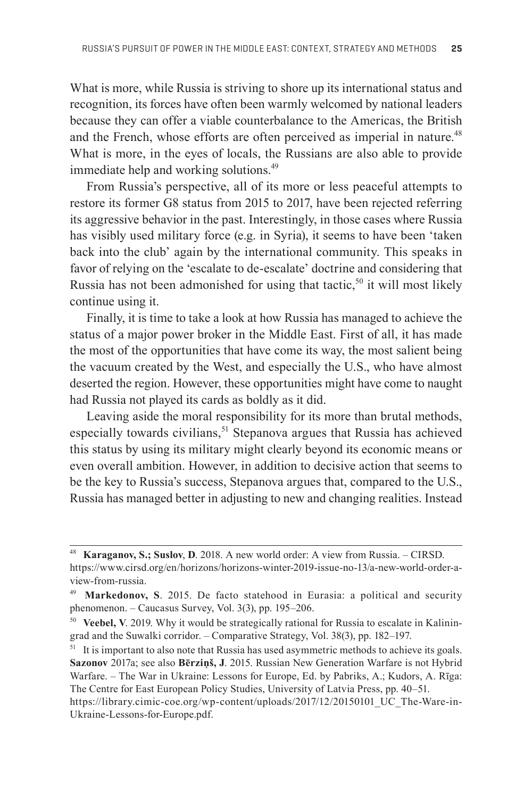What is more, while Russia is striving to shore up its international status and recognition, its forces have often been warmly welcomed by national leaders because they can offer a viable counterbalance to the Americas, the British and the French, whose efforts are often perceived as imperial in nature.<sup>48</sup> What is more, in the eyes of locals, the Russians are also able to provide immediate help and working solutions.<sup>49</sup>

From Russia's perspective, all of its more or less peaceful attempts to restore its former G8 status from 2015 to 2017, have been rejected referring its aggressive behavior in the past. Interestingly, in those cases where Russia has visibly used military force (e.g. in Syria), it seems to have been 'taken back into the club' again by the international community. This speaks in favor of relying on the 'escalate to de-escalate' doctrine and considering that Russia has not been admonished for using that tactic,<sup>50</sup> it will most likely continue using it.

Finally, it is time to take a look at how Russia has managed to achieve the status of a major power broker in the Middle East. First of all, it has made the most of the opportunities that have come its way, the most salient being the vacuum created by the West, and especially the U.S., who have almost deserted the region. However, these opportunities might have come to naught had Russia not played its cards as boldly as it did.

Leaving aside the moral responsibility for its more than brutal methods, especially towards civilians,<sup>51</sup> Stepanova argues that Russia has achieved this status by using its military might clearly beyond its economic means or even overall ambition. However, in addition to decisive action that seems to be the key to Russia's success, Stepanova argues that, compared to the U.S., Russia has managed better in adjusting to new and changing realities. Instead

<sup>48</sup>**Karaganov, S.; Suslov**, **D**. 2018. A new world order: A view from Russia. – CIRSD. https://www.cirsd.org/en/horizons/horizons-winter-2019-issue-no-13/a-new-world-order-aview-from-russia.

<sup>49</sup>**Markedonov, S**. 2015. De facto statehood in Eurasia: a political and security phenomenon. – Caucasus Survey, Vol. 3(3), pp. 195–206.

<sup>50</sup> **Veebel, V**. 2019. Why it would be strategically rational for Russia to escalate in Kaliningrad and the Suwalki corridor. – Comparative Strategy, Vol. 38(3), pp. 182–197.

<sup>&</sup>lt;sup>51</sup> It is important to also note that Russia has used asymmetric methods to achieve its goals. **Sazonov** 2017a; see also **Bērziņš, J**. 2015. Russian New Generation Warfare is not Hybrid Warfare. – The War in Ukraine: Lessons for Europe, Ed. by Pabriks, A.; Kudors, A. Rīga: The Centre for East European Policy Studies, University of Latvia Press, pp. 40–51.

https://library.cimic-coe.org/wp-content/uploads/2017/12/20150101\_UC\_The-Ware-in-Ukraine-Lessons-for-Europe.pdf.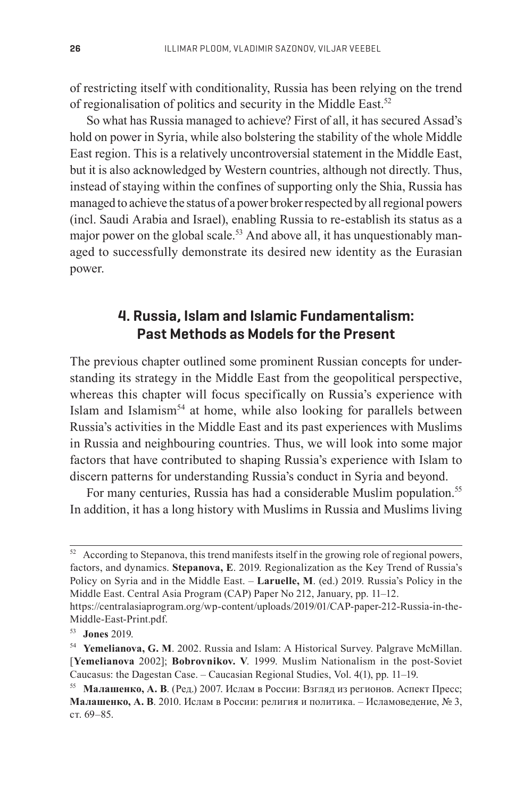of restricting itself with conditionality, Russia has been relying on the trend of regionalisation of politics and security in the Middle East.<sup>52</sup>

So what has Russia managed to achieve? First of all, it has secured Assad's hold on power in Syria, while also bolstering the stability of the whole Middle East region. This is a relatively uncontroversial statement in the Middle East, but it is also acknowledged by Western countries, although not directly. Thus, instead of staying within the confines of supporting only the Shia, Russia has managed to achieve the status of a power broker respected by all regional powers (incl. Saudi Arabia and Israel), enabling Russia to re-establish its status as a major power on the global scale.<sup>53</sup> And above all, it has unquestionably managed to successfully demonstrate its desired new identity as the Eurasian power.

### **4. Russia, Islam and Islamic Fundamentalism: Past Methods as Models for the Present**

The previous chapter outlined some prominent Russian concepts for understanding its strategy in the Middle East from the geopolitical perspective, whereas this chapter will focus specifically on Russia's experience with Islam and Islamism<sup>54</sup> at home, while also looking for parallels between Russia's activities in the Middle East and its past experiences with Muslims in Russia and neighbouring countries. Thus, we will look into some major factors that have contributed to shaping Russia's experience with Islam to discern patterns for understanding Russia's conduct in Syria and beyond.

For many centuries, Russia has had a considerable Muslim population.<sup>55</sup> In addition, it has a long history with Muslims in Russia and Muslims living

 $52$  According to Stepanova, this trend manifests itself in the growing role of regional powers, factors, and dynamics. **Stepanova, E**. 2019. Regionalization as the Key Trend of Russia's Policy on Syria and in the Middle East. – **Laruelle, M**. (ed.) 2019. Russia's Policy in the Middle East. Central Asia Program (CAP) Paper No 212, January, pp. 11–12. https://centralasiaprogram.org/wp-content/uploads/2019/01/CAP-paper-212-Russia-in-the-

Middle-East-Print.pdf.

<sup>53</sup>**Jones** 2019.

<sup>54</sup>**Yemelianova, G. M**. 2002. Russia and Islam: A Historical Survey. Palgrave McMillan. [**Yemelianova** 2002]; **Bobrovnikov. V**. 1999. Muslim Nationalism in the post-Soviet Caucasus: the Dagestan Case. – Caucasian Regional Studies, Vol. 4(1), pp. 11–19.

<sup>55</sup>**Малашенко, А. В**. (Ред.) 2007. Ислам в России: Взгляд из регионов. Аспект Пресс; **Малашенко, А. В**. 2010. Ислам в России: религия и политика. – Исламоведение, № 3, ст. 69–85.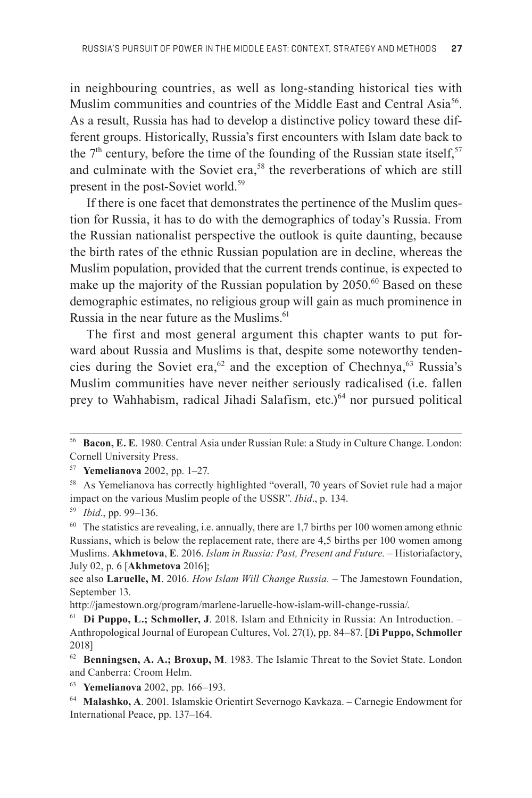in neighbouring countries, as well as long-standing historical ties with Muslim communities and countries of the Middle East and Central Asia<sup>56</sup>. As a result, Russia has had to develop a distinctive policy toward these different groups. Historically, Russia's first encounters with Islam date back to the  $7<sup>th</sup>$  century, before the time of the founding of the Russian state itself,<sup>57</sup> and culminate with the Soviet era,<sup>58</sup> the reverberations of which are still present in the post-Soviet world.<sup>59</sup>

If there is one facet that demonstrates the pertinence of the Muslim question for Russia, it has to do with the demographics of today's Russia. From the Russian nationalist perspective the outlook is quite daunting, because the birth rates of the ethnic Russian population are in decline, whereas the Muslim population, provided that the current trends continue, is expected to make up the majority of the Russian population by 2050.<sup>60</sup> Based on these demographic estimates, no religious group will gain as much prominence in Russia in the near future as the Muslims.<sup>61</sup>

The first and most general argument this chapter wants to put forward about Russia and Muslims is that, despite some noteworthy tendencies during the Soviet era,<sup>62</sup> and the exception of Chechnya,<sup>63</sup> Russia's Muslim communities have never neither seriously radicalised (i.e. fallen prey to Wahhabism, radical Jihadi Salafism, etc.)<sup>64</sup> nor pursued political

<sup>56</sup>**Bacon, E. E**. 1980. Central Asia under Russian Rule: a Study in Culture Change. London: Cornell University Press.

<sup>57</sup>**Yemelianova** 2002, pp. 1–27.

<sup>&</sup>lt;sup>58</sup> As Yemelianova has correctly highlighted "overall, 70 years of Soviet rule had a major impact on the various Muslim people of the USSR". *Ibid*., p. 134.

<sup>59</sup>*Ibid*., pp. 99–136.

 $60$  The statistics are revealing, i.e. annually, there are 1,7 births per 100 women among ethnic Russians, which is below the replacement rate, there are 4,5 births per 100 women among Muslims. **Akhmetova**, **E**. 2016. *Islam in Russia: Past, Present and Future. –* Historiafactory, July 02, p. 6 [**Akhmetova** 2016];

see also **Laruelle, M**. 2016. *How Islam Will Change Russia. –* The Jamestown Foundation, September 13.

http://jamestown.org/program/marlene-laruelle-how-islam-will-change-russia/.

<sup>61</sup>**Di Puppo, L.; Schmoller, J**. 2018. Islam and Ethnicity in Russia: An Introduction. – Anthropological Journal of European Cultures, Vol. 27(1), pp. 84–87. [Di Puppo, Schmoller 2018]

<sup>&</sup>lt;sup>62</sup> Benningsen, A. A.; Broxup, M. 1983. The Islamic Threat to the Soviet State. London and Canberra: Croom Helm.

<sup>63</sup>**Yemelianova** 2002, pp. 166–193.

<sup>64</sup>**Malashko, A**. 2001. Islamskie Orientirt Severnogo Kavkaza. – Carnegie Endowment for International Peace, pp. 137–164.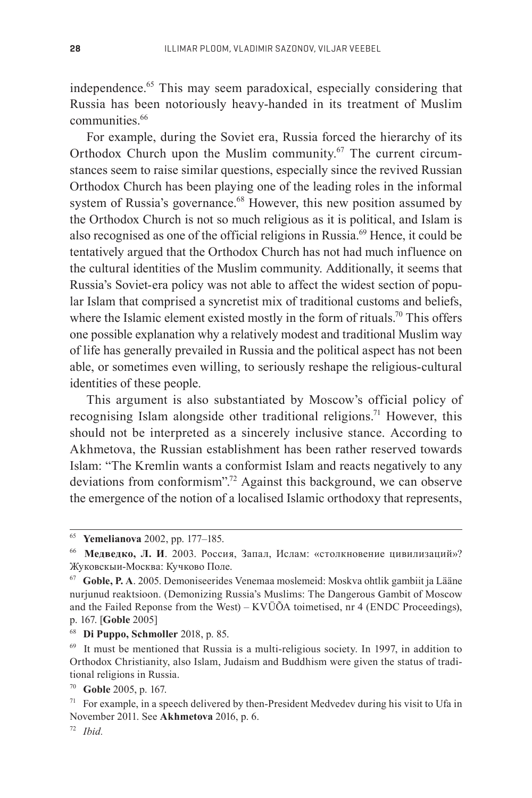independence.65 This may seem paradoxical, especially considering that Russia has been notoriously heavy-handed in its treatment of Muslim communities.<sup>66</sup>

For example, during the Soviet era, Russia forced the hierarchy of its Orthodox Church upon the Muslim community.<sup>67</sup> The current circumstances seem to raise similar questions, especially since the revived Russian Orthodox Church has been playing one of the leading roles in the informal system of Russia's governance.<sup>68</sup> However, this new position assumed by the Orthodox Church is not so much religious as it is political, and Islam is also recognised as one of the official religions in Russia.<sup>69</sup> Hence, it could be tentatively argued that the Orthodox Church has not had much influence on the cultural identities of the Muslim community. Additionally, it seems that Russia's Soviet-era policy was not able to affect the widest section of popular Islam that comprised a syncretist mix of traditional customs and beliefs, where the Islamic element existed mostly in the form of rituals.<sup>70</sup> This offers one possible explanation why a relatively modest and traditional Muslim way of life has generally prevailed in Russia and the political aspect has not been able, or sometimes even willing, to seriously reshape the religious-cultural identities of these people.

This argument is also substantiated by Moscow's official policy of recognising Islam alongside other traditional religions.<sup>71</sup> However, this should not be interpreted as a sincerely inclusive stance. According to Akhmetova, the Russian establishment has been rather reserved towards Islam: "The Kremlin wants a conformist Islam and reacts negatively to any deviations from conformism".<sup>72</sup> Against this background, we can observe the emergence of the notion of a localised Islamic orthodoxy that represents,

<sup>65</sup>**Yemelianova** 2002, pp. 177–185.

<sup>66</sup>**Медведко, Л. И**. 2003. Россия, Запал, Ислам: «столкновение цивилизаций»? Жуковскыи-Москва: Кучково Поле.

<sup>67</sup>**Goble, P. A**. 2005. Demoniseerides Venemaa moslemeid: Moskva ohtlik gambiit ja Lääne nurjunud reaktsioon. (Demonizing Russia's Muslims: The Dangerous Gambit of Moscow and the Failed Reponse from the West) – KVÜÕA toimetised, nr 4 (ENDC Proceedings), p. 167. [**Goble** 2005]

<sup>68</sup>**Di Puppo, Schmoller** 2018, p. 85.

 $69$  It must be mentioned that Russia is a multi-religious society. In 1997, in addition to Ortho dox Christianity, also Islam, Judaism and Buddhism were given the status of traditional religions in Russia.

<sup>70</sup>**Goble** 2005, p. 167.

 $71$  For example, in a speech delivered by then-President Medvedev during his visit to Ufa in November 2011. See **Akhmetova** 2016, p. 6.

<sup>72</sup> *Ibid.*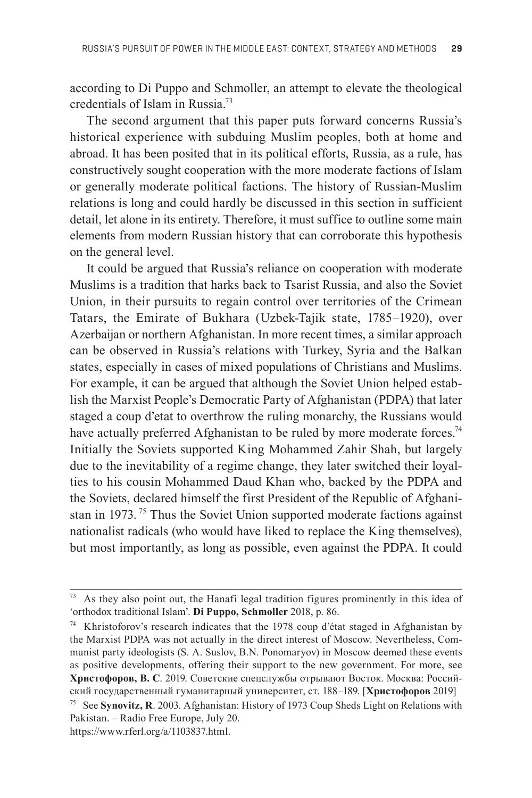according to Di Puppo and Schmoller, an attempt to elevate the theological credentials of Islam in Russia.73

The second argument that this paper puts forward concerns Russia's historical experience with subduing Muslim peoples, both at home and abroad. It has been posited that in its political efforts, Russia, as a rule, has constructively sought cooperation with the more moderate factions of Islam or generally moderate political factions. The history of Russian-Muslim relations is long and could hardly be discussed in this section in sufficient detail, let alone in its entirety. Therefore, it must suffice to outline some main elements from modern Russian history that can corroborate this hypothesis on the general level.

It could be argued that Russia's reliance on cooperation with moderate Muslims is a tradition that harks back to Tsarist Russia, and also the Soviet Union, in their pursuits to regain control over territories of the Crimean Tatars, the Emirate of Bukhara (Uzbek-Tajik state, 1785–1920), over Azerbaijan or northern Afghanistan. In more recent times, a similar approach can be observed in Russia's relations with Turkey, Syria and the Balkan states, especially in cases of mixed populations of Christians and Muslims. For example, it can be argued that although the Soviet Union helped establish the Marxist People's Democratic Party of Afghanistan (PDPA) that later staged a coup d'etat to overthrow the ruling monarchy, the Russians would have actually preferred Afghanistan to be ruled by more moderate forces.<sup>74</sup> Initially the Soviets supported King Mohammed Zahir Shah, but largely due to the inevitability of a regime change, they later switched their loyalties to his cousin Mohammed Daud Khan who, backed by the PDPA and the Soviets, declared himself the first President of the Republic of Afghanistan in 1973.<sup>75</sup> Thus the Soviet Union supported moderate factions against nationalist radicals (who would have liked to replace the King themselves), but most importantly, as long as possible, even against the PDPA. It could

 $73$  As they also point out, the Hanafi legal tradition figures prominently in this idea of 'orthodox traditional Islam'. **Di Puppo, Schmoller** 2018, p. 86.

<sup>74</sup> Khristoforov's research indicates that the 1978 coup d'état staged in Afghanistan by the Marxist PDPA was not actually in the direct interest of Moscow. Nevertheless, Communist party ideologists (S. A. Suslov, B.N. Ponomaryov) in Moscow deemed these events as positive developments, offering their support to the new government. For more, see **Христофоров, В. С**. 2019. Советские спецслужбы отрывают Восток. Москва: Российский государствен ный гуманитарный университет, ст. 188–189. [**Христофоров** 2019]

<sup>75</sup> See **Synovitz, R**. 2003. Afghanistan: History of 1973 Coup Sheds Light on Relations with Pakistan. – Radio Free Europe, July 20.

https://www.rferl.org/a/1103837.html.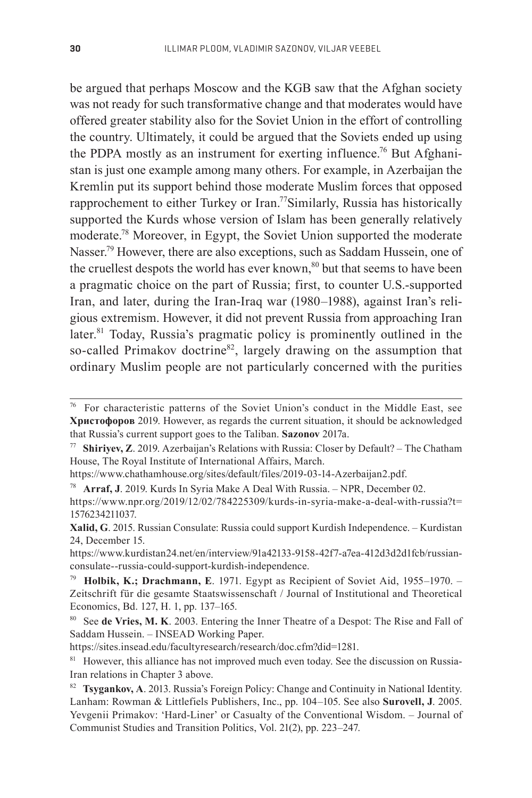be argued that perhaps Moscow and the KGB saw that the Afghan society was not ready for such transformative change and that moderates would have offered greater stability also for the Soviet Union in the effort of controlling the country. Ultimately, it could be argued that the Soviets ended up using the PDPA mostly as an instrument for exerting influence.<sup>76</sup> But Afghanistan is just one example among many others. For example, in Azerbaijan the Kremlin put its support behind those moderate Muslim forces that opposed rapprochement to either Turkey or Iran.<sup>77</sup>Similarly, Russia has historically supported the Kurds whose version of Islam has been generally relatively moderate.78 Moreover, in Egypt, the Soviet Union supported the moderate Nasser.<sup>79</sup> However, there are also exceptions, such as Saddam Hussein, one of the cruellest despots the world has ever known, $80$  but that seems to have been a pragmatic choice on the part of Russia; first, to counter U.S.-supported Iran, and later, during the Iran-Iraq war (1980–1988), against Iran's religious extremism. However, it did not prevent Russia from approaching Iran later.<sup>81</sup> Today, Russia's pragmatic policy is prominently outlined in the so-called Primakov doctrine<sup>82</sup>, largely drawing on the assumption that ordinary Muslim people are not particularly concerned with the purities

<sup>78</sup>**Arraf, J**. 2019. Kurds In Syria Make A Deal With Russia. – NPR, December 02.

<sup>76</sup> For characteristic patterns of the Soviet Union's conduct in the Middle East, see **Христофоров** 2019. However, as regards the current situation, it should be acknowledged that Russia's current support goes to the Taliban. **Sazonov** 2017a.

<sup>77</sup>**Shiriyev, Z**. 2019. Azerbaijan's Relations with Russia: Closer by Default? – The Chatham House, The Royal Institute of International Affairs, March.

https://www.chathamhouse.org/sites/default/files/2019-03-14-Azerbaijan2.pdf.

https://www.npr.org/2019/12/02/784225309/kurds-in-syria-make-a-deal-with-russia?t= 1576234211037.

**Xalid, G**. 2015. Russian Consulate: Russia could support Kurdish Independence. – Kurdistan 24, December 15.

https://www.kurdistan24.net/en/interview/91a42133-9158-42f7-a7ea-412d3d2d1fcb/russianconsulate--russia-could-support-kurdish-independence.

<sup>79</sup>**Holbik, K.; Drachmann, E**. 1971. Egypt as Recipient of Soviet Aid, 1955–1970. – Zeitschrift für die gesamte Staatswissenschaft / Journal of Institutional and Theoretical Economics, Bd. 127, H. 1, pp. 137–165.

<sup>80</sup> See **de Vries, M. K**. 2003. Entering the Inner Theatre of a Despot: The Rise and Fall of Saddam Hussein. – INSEAD Working Paper.

https://sites.insead.edu/facultyresearch/research/doc.cfm?did=1281.

<sup>&</sup>lt;sup>81</sup> However, this alliance has not improved much even today. See the discussion on Russia-Iran relations in Chapter 3 above.

<sup>82</sup>**Tsygankov, A**. 2013. Russia's Foreign Policy: Change and Continuity in National Identity. Lanham: Rowman & Littlefiels Publishers, Inc., pp. 104–105. See also **Surovell, J**. 2005. Yevgenii Primakov: 'Hard-Liner' or Casualty of the Conventional Wisdom. – Journal of Communist Studies and Transition Politics, Vol. 21(2), pp. 223–247.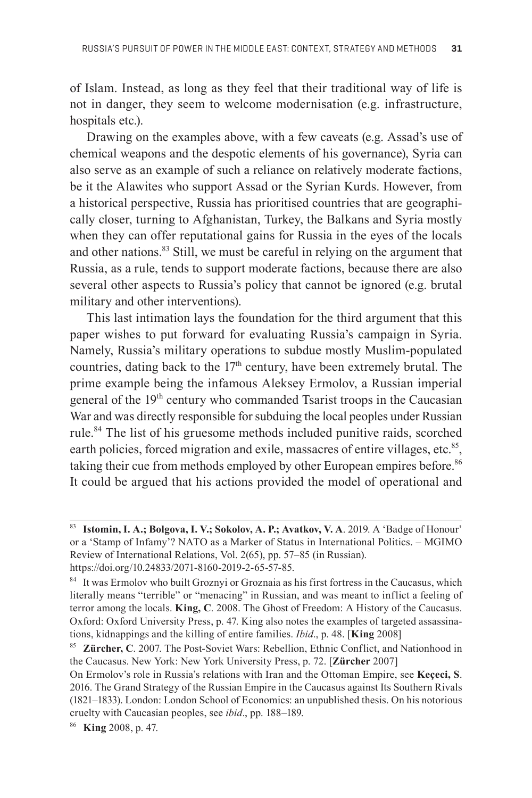of Islam. Instead, as long as they feel that their traditional way of life is not in danger, they seem to welcome modernisation (e.g. infrastructure, hospitals etc.).

Drawing on the examples above, with a few caveats (e.g. Assad's use of chemical weapons and the despotic elements of his governance), Syria can also serve as an example of such a reliance on relatively moderate factions, be it the Alawites who support Assad or the Syrian Kurds. However, from a historical perspective, Russia has prioritised countries that are geographically closer, turning to Afghanistan, Turkey, the Balkans and Syria mostly when they can offer reputational gains for Russia in the eyes of the locals and other nations.<sup>83</sup> Still, we must be careful in relying on the argument that Russia, as a rule, tends to support moderate factions, because there are also several other aspects to Russia's policy that cannot be ignored (e.g. brutal military and other interventions).

This last intimation lays the foundation for the third argument that this paper wishes to put forward for evaluating Russia's campaign in Syria. Namely, Russia's military operations to subdue mostly Muslim-populated countries, dating back to the  $17<sup>th</sup>$  century, have been extremely brutal. The prime example being the infamous Aleksey Ermolov, a Russian imperial general of the 19<sup>th</sup> century who commanded Tsarist troops in the Caucasian War and was directly responsible for subduing the local peoples under Russian rule.<sup>84</sup> The list of his gruesome methods included punitive raids, scorched earth policies, forced migration and exile, massacres of entire villages, etc.<sup>85</sup>, taking their cue from methods employed by other European empires before.<sup>86</sup> It could be argued that his actions provided the model of operational and

<sup>83</sup>**Istomin, I. A.; Bolgova, I. V.; Sokolov, A. P.; Avatkov, V. A**. 2019. A 'Badge of Honour' or a 'Stamp of Infamy'? NATO as a Marker of Status in International Politics. – MGIMO Review of International Relations, Vol. 2(65), pp. 57–85 (in Russian). https://doi.org/10.24833/2071-8160-2019-2-65-57-85.

<sup>84</sup> It was Ermolov who built Groznyi or Groznaia as his first fortress in the Caucasus, which literally means "terrible" or "menacing" in Russian, and was meant to inflict a feeling of terror among the locals. **King, C**. 2008. The Ghost of Freedom: A History of the Caucasus. Oxford: Oxford University Press, p. 47. King also notes the examples of targeted assassinations, kidnappings and the killing of entire families. *Ibid*., p. 48. [**King** 2008]

<sup>85</sup>**Zürcher, C**. 2007. The Post-Soviet Wars: Rebellion, Ethnic Conflict, and Nationhood in the Caucasus. New York: New York University Press, p. 72. [**Zürcher** 2007]

On Ermolov's role in Russia's relations with Iran and the Ottoman Empire, see **Keçeci, S**. 2016. The Grand Strategy of the Russian Empire in the Caucasus against Its Southern Rivals (1821–1833). London: London School of Economics: an unpublished thesis. On his notorious cruelty with Caucasian peoples, see *ibid*., pp. 188–189.

<sup>86</sup> **King** 2008, p. 47.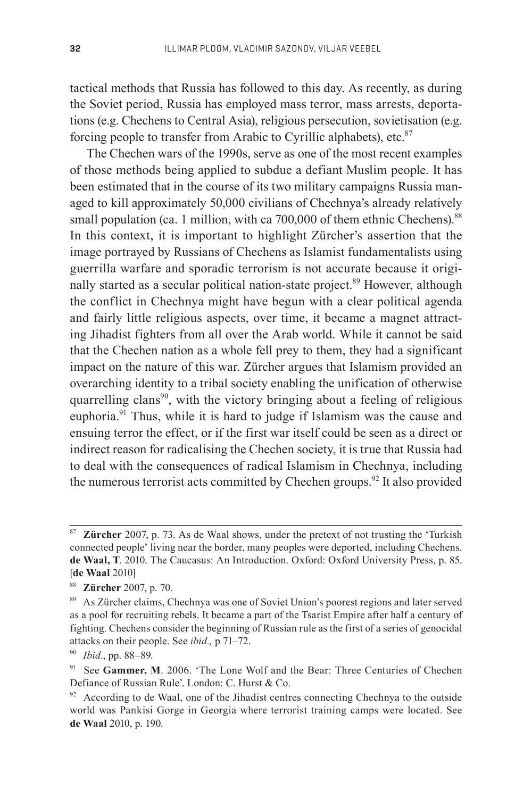tactical methods that Russia has followed to this day. As recently, as during the Soviet period, Russia has employed mass terror, mass arrests, deportations (e.g. Chechens to Central Asia), religious persecution, sovietisation (e.g. forcing people to transfer from Arabic to Cyrillic alphabets), etc. $87$ 

The Chechen wars of the 1990s, serve as one of the most recent examples of those methods being applied to subdue a defiant Muslim people. It has been estimated that in the course of its two military campaigns Russia managed to kill approximately 50,000 civilians of Chechnya's already relatively small population (ca. 1 million, with ca 700,000 of them ethnic Chechens).<sup>88</sup> In this context, it is important to highlight Zürcher's assertion that the image portrayed by Russians of Chechens as Islamist fundamentalists using guerrilla warfare and sporadic terrorism is not accurate because it originally started as a secular political nation-state project.<sup>89</sup> However, although the conflict in Chechnya might have begun with a clear political agenda and fairly little religious aspects, over time, it became a magnet attracting Jihadist fighters from all over the Arab world. While it cannot be said that the Chechen nation as a whole fell prey to them, they had a significant impact on the nature of this war. Zürcher argues that Islamism provided an over arching identity to a tribal society enabling the unification of otherwise quarrelling clans<sup>90</sup>, with the victory bringing about a feeling of religious euphoria.<sup>91</sup> Thus, while it is hard to judge if Islamism was the cause and ensuing terror the effect, or if the first war itself could be seen as a direct or indirect reason for radicalising the Chechen society, it is true that Russia had to deal with the consequences of radical Islamism in Chechnya, including the numerous terrorist acts committed by Chechen groups.<sup>92</sup> It also provided

<sup>87</sup>**Zürcher** 2007, p. 73. As de Waal shows, under the pretext of not trusting the 'Turkish connected people' living near the border, many peoples were deported, including Chechens. **de Waal, T**. 2010. The Caucasus: An Introduction. Oxford: Oxford University Press, p. 85. [**de Waal** 2010]

<sup>88</sup>**Zürcher** 2007, p. 70.

<sup>&</sup>lt;sup>89</sup> As Zürcher claims, Chechnya was one of Soviet Union's poorest regions and later served as a pool for recruiting rebels. It became a part of the Tsarist Empire after half a century of fighting. Chechens consider the beginning of Russian rule as the first of a series of genocidal attacks on their people. See *ibid.,* p 71–72.

<sup>90</sup>*Ibid*., pp. 88–89.

<sup>&</sup>lt;sup>91</sup> See Gammer, M. 2006. 'The Lone Wolf and the Bear: Three Centuries of Chechen Defiance of Russian Rule'. London: C. Hurst & Co.

According to de Waal, one of the Jihadist centres connecting Chechnya to the outside world was Pankisi Gorge in Georgia where terrorist training camps were located. See **de Waal** 2010, p. 190.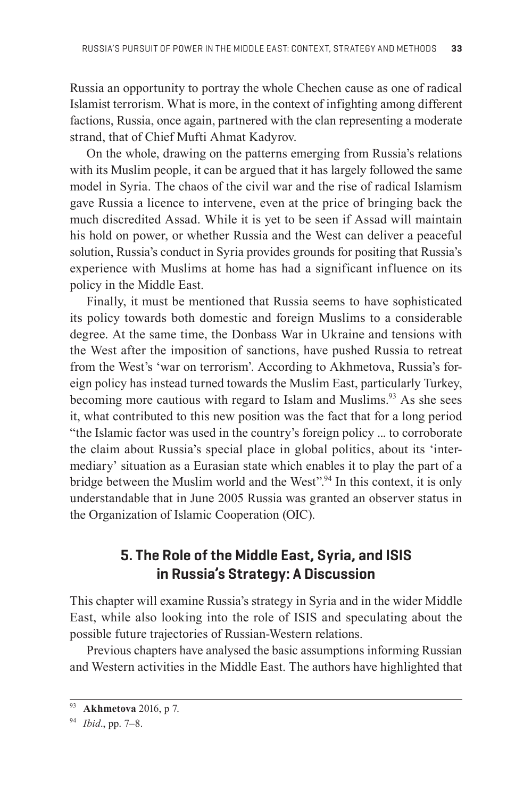Russia an opportunity to portray the whole Chechen cause as one of radical Islamist terrorism. What is more, in the context of infighting among different factions, Russia, once again, partnered with the clan representing a moderate strand, that of Chief Mufti Ahmat Kadyrov.

On the whole, drawing on the patterns emerging from Russia's relations with its Muslim people, it can be argued that it has largely followed the same model in Syria. The chaos of the civil war and the rise of radical Islamism gave Russia a licence to intervene, even at the price of bringing back the much discredited Assad. While it is yet to be seen if Assad will maintain his hold on power, or whether Russia and the West can deliver a peaceful solution, Russia's conduct in Syria provides grounds for positing that Russia's experience with Muslims at home has had a significant influence on its policy in the Middle East.

Finally, it must be mentioned that Russia seems to have sophisticated its policy towards both domestic and foreign Muslims to a considerable degree. At the same time, the Donbass War in Ukraine and tensions with the West after the imposition of sanctions, have pushed Russia to retreat from the West's 'war on terrorism'. According to Akhmetova, Russia's foreign policy has instead turned towards the Muslim East, particularly Turkey, becoming more cautious with regard to Islam and Muslims.<sup>93</sup> As she sees it, what contributed to this new position was the fact that for a long period "the Islamic factor was used in the country's foreign policy ... to corroborate the claim about Russia's special place in global politics, about its 'intermediary' situation as a Eurasian state which enables it to play the part of a bridge between the Muslim world and the West".<sup>94</sup> In this context, it is only understandable that in June 2005 Russia was granted an observer status in the Organization of Islamic Cooperation (OIC).

### **5. The Role of the Middle East, Syria, and ISIS in Russia's Strategy: A Discussion**

This chapter will examine Russia's strategy in Syria and in the wider Middle East, while also looking into the role of ISIS and speculating about the possible future trajectories of Russian-Western relations.

Previous chapters have analysed the basic assumptions informing Russian and Western activities in the Middle East. The authors have highlighted that

<sup>93</sup>**Akhmetova** 2016, p 7.

<sup>94</sup>*Ibid*., pp. 7–8.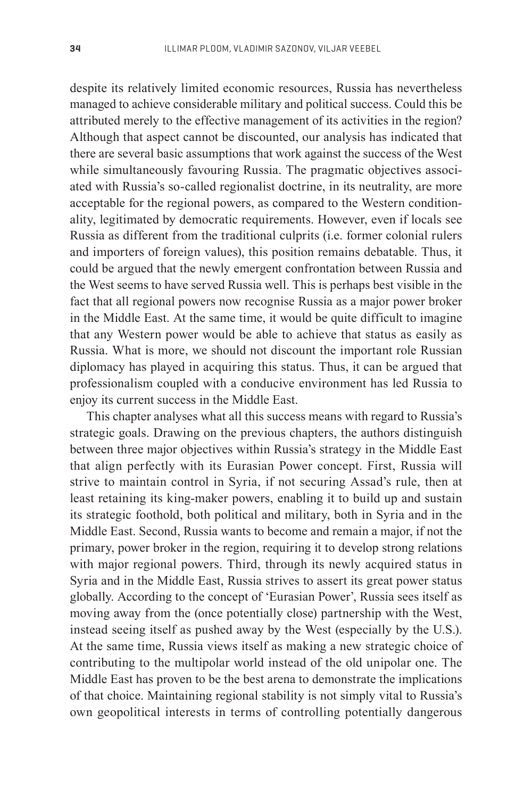despite its relatively limited economic resources, Russia has nevertheless managed to achieve considerable military and political success. Could this be attributed merely to the effective management of its activities in the region? Although that aspect cannot be discounted, our analysis has indicated that there are several basic assumptions that work against the success of the West while simultaneously favouring Russia. The pragmatic objectives associated with Russia's so-called regionalist doctrine, in its neutrality, are more acceptable for the regional powers, as compared to the Western conditionality, legitimated by democratic requirements. However, even if locals see Russia as different from the traditional culprits (i.e. former colonial rulers and importers of foreign values), this position remains debatable. Thus, it could be argued that the newly emergent confrontation between Russia and the West seems to have served Russia well. This is perhaps best visible in the fact that all regional powers now recognise Russia as a major power broker in the Middle East. At the same time, it would be quite difficult to imagine that any Western power would be able to achieve that status as easily as Russia. What is more, we should not discount the important role Russian diplomacy has played in acquiring this status. Thus, it can be argued that professionalism coupled with a conducive environment has led Russia to enjoy its current success in the Middle East.

This chapter analyses what all this success means with regard to Russia's strategic goals. Drawing on the previous chapters, the authors distinguish between three major objectives within Russia's strategy in the Middle East that align perfectly with its Eurasian Power concept. First, Russia will strive to maintain control in Syria, if not securing Assad's rule, then at least retaining its king-maker powers, enabling it to build up and sustain its strategic foothold, both political and military, both in Syria and in the Middle East. Second, Russia wants to become and remain a major, if not the primary, power broker in the region, requiring it to develop strong relations with major regional powers. Third, through its newly acquired status in Syria and in the Middle East, Russia strives to assert its great power status globally. According to the concept of 'Eurasian Power', Russia sees itself as moving away from the (once potentially close) partnership with the West, instead seeing itself as pushed away by the West (especially by the U.S.). At the same time, Russia views itself as making a new strategic choice of contributing to the multipolar world instead of the old unipolar one. The Middle East has proven to be the best arena to demonstrate the implications of that choice. Maintaining regional stability is not simply vital to Russia's own geopolitical interests in terms of controlling potentially dangerous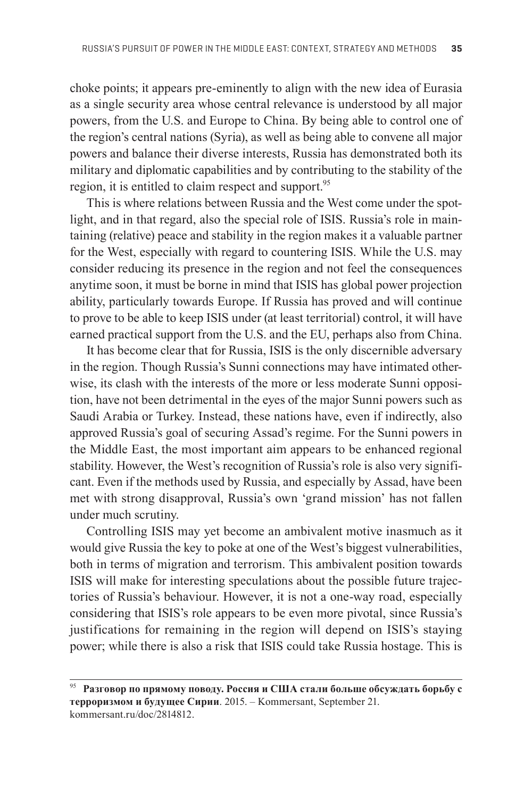choke points; it appears pre-eminently to align with the new idea of Eurasia as a single security area whose central relevance is understood by all major powers, from the U.S. and Europe to China. By being able to control one of the region's central nations (Syria), as well as being able to convene all major powers and balance their diverse interests, Russia has demonstrated both its military and diplomatic capabilities and by contributing to the stability of the region, it is entitled to claim respect and support.<sup>95</sup>

This is where relations between Russia and the West come under the spotlight, and in that regard, also the special role of ISIS. Russia's role in maintaining (relative) peace and stability in the region makes it a valuable partner for the West, especially with regard to countering ISIS. While the U.S. may consider reducing its presence in the region and not feel the consequences anytime soon, it must be borne in mind that ISIS has global power projection ability, particularly towards Europe. If Russia has proved and will continue to prove to be able to keep ISIS under (at least territorial) control, it will have earned practical support from the U.S. and the EU, perhaps also from China.

It has become clear that for Russia, ISIS is the only discernible adversary in the region. Though Russia's Sunni connections may have intimated otherwise, its clash with the interests of the more or less moderate Sunni opposition, have not been detrimental in the eyes of the major Sunni powers such as Saudi Arabia or Turkey. Instead, these nations have, even if indirectly, also approved Russia's goal of securing Assad's regime. For the Sunni powers in the Middle East, the most important aim appears to be enhanced regional stability. However, the West's recognition of Russia's role is also very significant. Even if the methods used by Russia, and especially by Assad, have been met with strong disapproval, Russia's own 'grand mission' has not fallen under much scrutiny.

Controlling ISIS may yet become an ambivalent motive inasmuch as it would give Russia the key to poke at one of the West's biggest vulnerabilities, both in terms of migration and terrorism. This ambivalent position towards ISIS will make for interesting speculations about the possible future trajectories of Russia's behaviour. However, it is not a one-way road, especially considering that ISIS's role appears to be even more pivotal, since Russia's justifications for remaining in the region will depend on ISIS's staying power; while there is also a risk that ISIS could take Russia hostage. This is

<sup>95</sup>**Разговор по прямому поводу. Россия и США стали больше обсуждать борьбу с терроризмом и будущее Сирии**. 2015. – Kommersant, September 21. kommersant.ru/doc/2814812.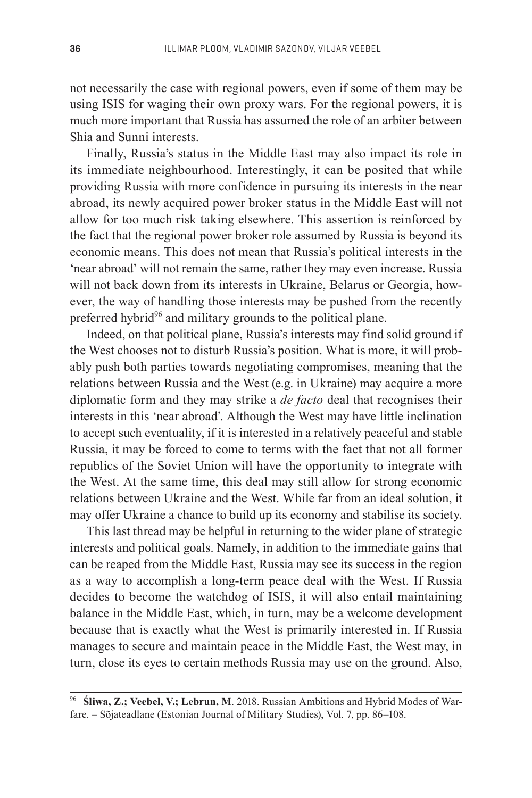not necessarily the case with regional powers, even if some of them may be using ISIS for waging their own proxy wars. For the regional powers, it is much more important that Russia has assumed the role of an arbiter between Shia and Sunni interests.

Finally, Russia's status in the Middle East may also impact its role in its immediate neighbourhood. Interestingly, it can be posited that while providing Russia with more confidence in pursuing its interests in the near abroad, its newly acquired power broker status in the Middle East will not allow for too much risk taking elsewhere. This assertion is reinforced by the fact that the regional power broker role assumed by Russia is beyond its economic means. This does not mean that Russia's political interests in the 'near abroad' will not remain the same, rather they may even increase. Russia will not back down from its interests in Ukraine, Belarus or Georgia, however, the way of handling those interests may be pushed from the recently preferred hybrid<sup>96</sup> and military grounds to the political plane.

Indeed, on that political plane, Russia's interests may find solid ground if the West chooses not to disturb Russia's position. What is more, it will probably push both parties towards negotiating compromises, meaning that the relations between Russia and the West (e.g. in Ukraine) may acquire a more diplomatic form and they may strike a *de facto* deal that recognises their interests in this 'near abroad'. Although the West may have little inclination to accept such eventuality, if it is interested in a relatively peaceful and stable Russia, it may be forced to come to terms with the fact that not all former republics of the Soviet Union will have the opportunity to integrate with the West. At the same time, this deal may still allow for strong economic relations between Ukraine and the West. While far from an ideal solution, it may offer Ukraine a chance to build up its economy and stabilise its society.

This last thread may be helpful in returning to the wider plane of strategic interests and political goals. Namely, in addition to the immediate gains that can be reaped from the Middle East, Russia may see its success in the region as a way to accomplish a long-term peace deal with the West. If Russia decides to become the watchdog of ISIS, it will also entail maintaining balance in the Middle East, which, in turn, may be a welcome development because that is exactly what the West is primarily interested in. If Russia manages to secure and maintain peace in the Middle East, the West may, in turn, close its eyes to certain methods Russia may use on the ground. Also,

<sup>96</sup> **Śliwa, Z.; Veebel, V.; Lebrun, M**. 2018. Russian Ambitions and Hybrid Modes of Warfare. – Sõjateadlane (Estonian Journal of Military Studies), Vol. 7, pp. 86–108.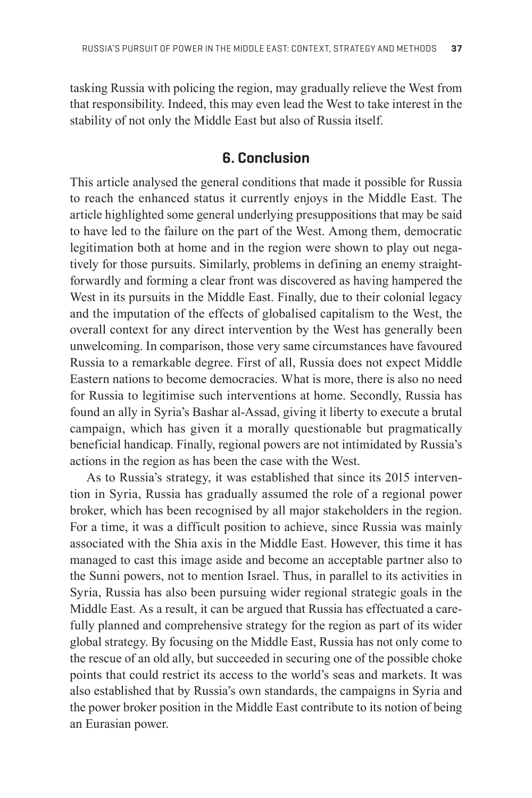tasking Russia with policing the region, may gradually relieve the West from that responsibility. Indeed, this may even lead the West to take interest in the stability of not only the Middle East but also of Russia itself.

#### **6. Conclusion**

This article analysed the general conditions that made it possible for Russia to reach the enhanced status it currently enjoys in the Middle East. The article highlighted some general underlying presuppositions that may be said to have led to the failure on the part of the West. Among them, democratic legitimation both at home and in the region were shown to play out negatively for those pursuits. Similarly, problems in defining an enemy straightforwardly and forming a clear front was discovered as having hampered the West in its pursuits in the Middle East. Finally, due to their colonial legacy and the imputation of the effects of globalised capitalism to the West, the overall context for any direct intervention by the West has generally been unwelcoming. In comparison, those very same circumstances have favoured Russia to a remarkable degree. First of all, Russia does not expect Middle Eastern nations to become democracies. What is more, there is also no need for Russia to legitimise such interventions at home. Secondly, Russia has found an ally in Syria's Bashar al-Assad, giving it liberty to execute a brutal campaign, which has given it a morally questionable but pragmatically beneficial handicap. Finally, regional powers are not intimidated by Russia's actions in the region as has been the case with the West.

As to Russia's strategy, it was established that since its 2015 intervention in Syria, Russia has gradually assumed the role of a regional power broker, which has been recognised by all major stakeholders in the region. For a time, it was a difficult position to achieve, since Russia was mainly associated with the Shia axis in the Middle East. However, this time it has managed to cast this image aside and become an acceptable partner also to the Sunni powers, not to mention Israel. Thus, in parallel to its activities in Syria, Russia has also been pursuing wider regional strategic goals in the Middle East. As a result, it can be argued that Russia has effectuated a carefully planned and comprehensive strategy for the region as part of its wider global strategy. By focusing on the Middle East, Russia has not only come to the rescue of an old ally, but succeeded in securing one of the possible choke points that could restrict its access to the world's seas and markets. It was also established that by Russia's own standards, the campaigns in Syria and the power broker position in the Middle East contribute to its notion of being an Eurasian power.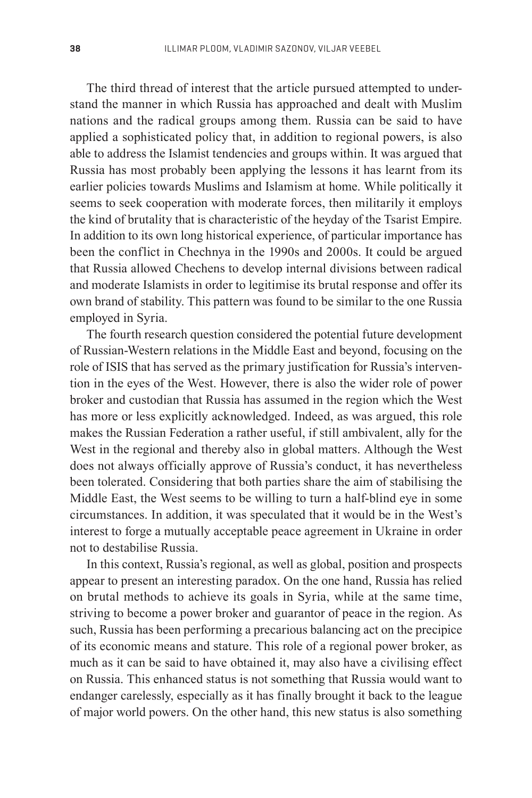The third thread of interest that the article pursued attempted to understand the manner in which Russia has approached and dealt with Muslim nations and the radical groups among them. Russia can be said to have applied a sophisticated policy that, in addition to regional powers, is also able to address the Islamist tendencies and groups within. It was argued that Russia has most probably been applying the lessons it has learnt from its earlier policies towards Muslims and Islamism at home. While politically it seems to seek cooperation with moderate forces, then militarily it employs the kind of brutality that is characteristic of the heyday of the Tsarist Empire. In addition to its own long historical experience, of particular importance has been the conflict in Chechnya in the 1990s and 2000s. It could be argued that Russia allowed Chechens to develop internal divisions between radical and moderate Islamists in order to legitimise its brutal response and offer its own brand of stability. This pattern was found to be similar to the one Russia employed in Syria.

The fourth research question considered the potential future development of Russian-Western relations in the Middle East and beyond, focusing on the role of ISIS that has served as the primary justification for Russia's intervention in the eyes of the West. However, there is also the wider role of power broker and custodian that Russia has assumed in the region which the West has more or less explicitly acknowledged. Indeed, as was argued, this role makes the Russian Federation a rather useful, if still ambivalent, ally for the West in the regional and thereby also in global matters. Although the West does not always officially approve of Russia's conduct, it has nevertheless been tolerated. Considering that both parties share the aim of stabilising the Middle East, the West seems to be willing to turn a half-blind eye in some circumstances. In addition, it was speculated that it would be in the West's interest to forge a mutually acceptable peace agreement in Ukraine in order not to destabilise Russia.

In this context, Russia's regional, as well as global, position and prospects appear to present an interesting paradox. On the one hand, Russia has relied on brutal methods to achieve its goals in Syria, while at the same time, striving to become a power broker and guarantor of peace in the region. As such, Russia has been performing a precarious balancing act on the precipice of its economic means and stature. This role of a regional power broker, as much as it can be said to have obtained it, may also have a civilising effect on Russia. This enhanced status is not something that Russia would want to endanger carelessly, especially as it has finally brought it back to the league of major world powers. On the other hand, this new status is also something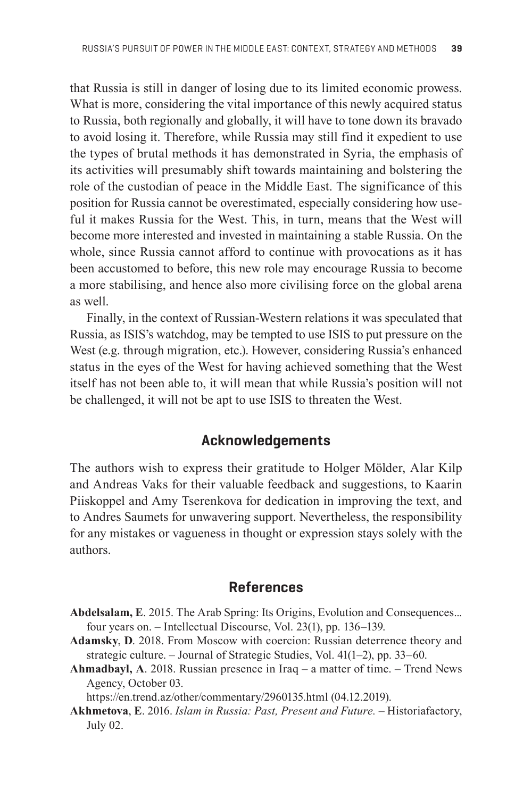that Russia is still in danger of losing due to its limited economic prowess. What is more, considering the vital importance of this newly acquired status to Russia, both regionally and globally, it will have to tone down its bravado to avoid losing it. Therefore, while Russia may still find it expedient to use the types of brutal methods it has demonstrated in Syria, the emphasis of its activities will presumably shift towards maintaining and bolstering the role of the custodian of peace in the Middle East. The significance of this position for Russia cannot be overestimated, especially considering how useful it makes Russia for the West. This, in turn, means that the West will become more interested and invested in maintaining a stable Russia. On the whole, since Russia cannot afford to continue with provocations as it has been accustomed to before, this new role may encourage Russia to become a more stabilising, and hence also more civilising force on the global arena as well.

Finally, in the context of Russian-Western relations it was speculated that Russia, as ISIS's watchdog, may be tempted to use ISIS to put pressure on the West (e.g. through migration, etc.). However, considering Russia's enhanced status in the eyes of the West for having achieved something that the West itself has not been able to, it will mean that while Russia's position will not be challenged, it will not be apt to use ISIS to threaten the West.

### **Acknowledgements**

The authors wish to express their gratitude to Holger Mölder, Alar Kilp and Andreas Vaks for their valuable feedback and suggestions, to Kaarin Piis koppel and Amy Tserenkova for dedication in improving the text, and to Andres Saumets for unwavering support. Nevertheless, the responsibility for any mistakes or vagueness in thought or expression stays solely with the authors.

#### **References**

- **Abdelsalam, E**. 2015. The Arab Spring: Its Origins, Evolution and Consequences... four years on. – Intellectual Discourse, Vol. 23(1), pp. 136–139.
- **Adamsky**, **D**. 2018. From Moscow with coercion: Russian deterrence theory and strategic culture. – Journal of Strategic Studies, Vol. 41(1–2), pp. 33–60.
- **Ahmadbayl, A**. 2018. Russian presence in Iraq a matter of time. Trend News Agency, October 03.

https://en.trend.az/other/commentary/2960135.html (04.12.2019).

**Akhmetova**, **E**. 2016. *Islam in Russia: Past, Present and Future. –* Historiafactory, July 02.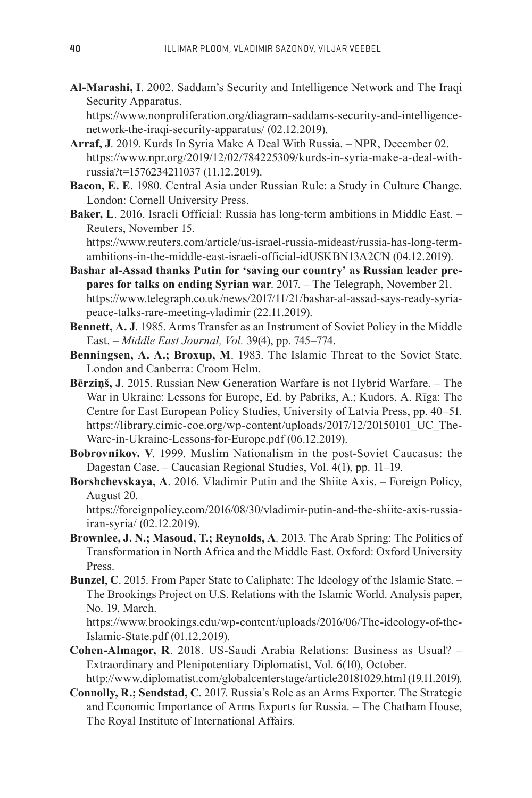**Al-Marashi, I**. 2002. Saddam's Security and Intelligence Network and The Iraqi Security Apparatus.

 https://www.nonproliferation.org/diagram-saddams-security-and-intelligencenetwork-the-iraqi-security-apparatus/ (02.12.2019).

- **Arraf, J**. 2019. Kurds In Syria Make A Deal With Russia. NPR, December 02. https://www.npr.org/2019/12/02/784225309/kurds-in-syria-make-a-deal-withrussia?t=1576234211037 (11.12.2019).
- **Bacon, E. E**. 1980. Central Asia under Russian Rule: a Study in Culture Change. London: Cornell University Press.
- **Baker, L**. 2016. Israeli Official: Russia has long-term ambitions in Middle East. Reuters, November 15.

 https://www.reuters.com/article/us-israel-russia-mideast/russia-has-long-termambitions-in-the-middle-east-israeli-official-idUSKBN13A2CN (04.12.2019).

**Bashar al-Assad thanks Putin for 'saving our country' as Russian leader prepares for talks on ending Syrian war**. 2017. – The Telegraph, November 21. https://www.telegraph.co.uk/news/2017/11/21/bashar-al-assad-says-ready-syriapeace-talks-rare-meeting-vladimir (22.11.2019).

- **Bennett, A. J**. 1985. Arms Transfer as an Instrument of Soviet Policy in the Middle East. – *Middle East Journal, Vol.* 39(4), pp. 745–774.
- **Benningsen, A. A.; Broxup, M**. 1983. The Islamic Threat to the Soviet State. London and Canberra: Croom Helm.
- **Bērziņš, J**. 2015. Russian New Generation Warfare is not Hybrid Warfare. The War in Ukraine: Lessons for Europe, Ed. by Pabriks, A.; Kudors, A. Rīga: The Centre for East European Policy Studies, University of Latvia Press, pp. 40–51. https://library.cimic-coe.org/wp-content/uploads/2017/12/20150101\_UC\_The-Ware-in-Ukraine-Lessons-for-Europe.pdf (06.12.2019).
- **Bobrovnikov. V**. 1999. Muslim Nationalism in the post-Soviet Caucasus: the Dagestan Case. – Caucasian Regional Studies, Vol. 4(1), pp. 11–19.
- **Borshchevskaya, A**. 2016. Vladimir Putin and the Shiite Axis. Foreign Policy, August 20.

 https://foreignpolicy.com/2016/08/30/vladimir-putin-and-the-shiite-axis-russiairan-syria/ (02.12.2019).

- **Brownlee, J. N.; Masoud, T.; Reynolds, A***.* 2013. The Arab Spring: The Politics of Transformation in North Africa and the Middle East. Oxford: Oxford University Press.
- **Bunzel**, **C**. 2015. From Paper State to Caliphate: The Ideology of the Islamic State. The Brookings Project on U.S. Relations with the Islamic World. Analysis paper, No. 19, March.

 https://www.brookings.edu/wp-content/uploads/2016/06/The-ideology-of-the-Islamic-State.pdf (01.12.2019).

- **Cohen-Almagor, R**. 2018. US-Saudi Arabia Relations: Business as Usual? Extraordinary and Plenipotentiary Diplomatist, Vol. 6(10), October. http://www.diplomatist.com/globalcenterstage/article20181029.html (19.11.2019).
- **Connolly, R.; Sendstad, C**. 2017. Russia's Role as an Arms Exporter. The Strategic and Economic Importance of Arms Exports for Russia. – The Chatham House, The Royal Institute of International Affairs.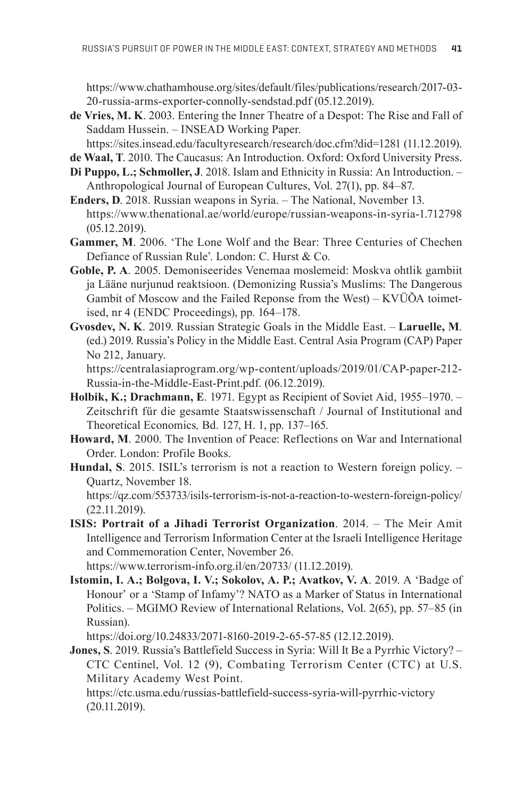https://www.chathamhouse.org/sites/default/files/publications/research/2017-03- 20-russia-arms-exporter-connolly-sendstad.pdf (05.12.2019).

**de Vries, M. K**. 2003. Entering the Inner Theatre of a Despot: The Rise and Fall of Saddam Hussein. – INSEAD Working Paper.

https://sites.insead.edu/facultyresearch/research/doc.cfm?did=1281 (11.12.2019).

- **de Waal, T**. 2010. The Caucasus: An Introduction. Oxford: Oxford University Press.
- **Di Puppo, L.; Schmoller, J**. 2018. Islam and Ethnicity in Russia: An Introduction. Anthropological Journal of European Cultures, Vol. 27(1), pp. 84–87.
- **Enders, D**. 2018. Russian weapons in Syria. The National, November 13. https://www.thenational.ae/world/europe/russian-weapons-in-syria-1.712798 (05.12.2019).
- **Gammer, M**. 2006. 'The Lone Wolf and the Bear: Three Centuries of Chechen Defiance of Russian Rule'. London: C. Hurst & Co.
- **Goble, P. A**. 2005. Demoniseerides Venemaa moslemeid: Moskva ohtlik gambiit ja Lääne nurjunud reaktsioon. (Demonizing Russia's Muslims: The Dangerous Gambit of Moscow and the Failed Reponse from the West) – KVÜÕA toimetised, nr 4 (ENDC Proceedings), pp. 164–178.
- **Gvosdev, N. K**. 2019. Russian Strategic Goals in the Middle East. **Laruelle, M**. (ed.) 2019. Russia's Policy in the Middle East. Central Asia Program (CAP) Paper No 212, January.

 https://centralasiaprogram.org/wp-content/uploads/2019/01/CAP-paper-212- Russia-in-the-Middle-East-Print.pdf. (06.12.2019).

- **Holbik, K.; Drachmann, E**. 1971. Egypt as Recipient of Soviet Aid, 1955–1970. Zeitschrift für die gesamte Staatswissenschaft / Journal of Institutional and Theoretical Economics*,* Bd. 127, H. 1, pp. 137–165.
- **Howard, M**. 2000. The Invention of Peace: Reflections on War and International Order. London: Profile Books.
- **Hundal, S**. 2015. ISIL's terrorism is not a reaction to Western foreign policy. Quartz, November 18.

https://qz.com/553733/isils-terrorism-is-not-a-reaction-to-western-foreign-policy/ (22.11.2019).

**ISIS: Portrait of a Jihadi Terrorist Organization**. 2014. – The Meir Amit Intelligence and Terrorism Information Center at the Israeli Intelligence Heritage and Commemoration Center, November 26.

https://www.terrorism-info.org.il/en/20733/ (11.12.2019).

**Istomin, I. A.; Bolgova, I. V.; Sokolov, A. P.; Avatkov, V. A**. 2019. A 'Badge of Honour' or a 'Stamp of Infamy'? NATO as a Marker of Status in International Politics. – MGIMO Review of International Relations, Vol. 2(65), pp. 57–85 (in Russian).

https://doi.org/10.24833/2071-8160-2019-2-65-57-85 (12.12.2019).

- **Jones, S**. 2019. Russia's Battlefield Success in Syria: Will It Be a Pyrrhic Victory? CTC Centinel, Vol. 12 (9), Combating Terrorism Center (CTC) at U.S. Military Academy West Point.
	- https://ctc.usma.edu/russias-battlefield-success-syria-will-pyrrhic-victory (20.11.2019).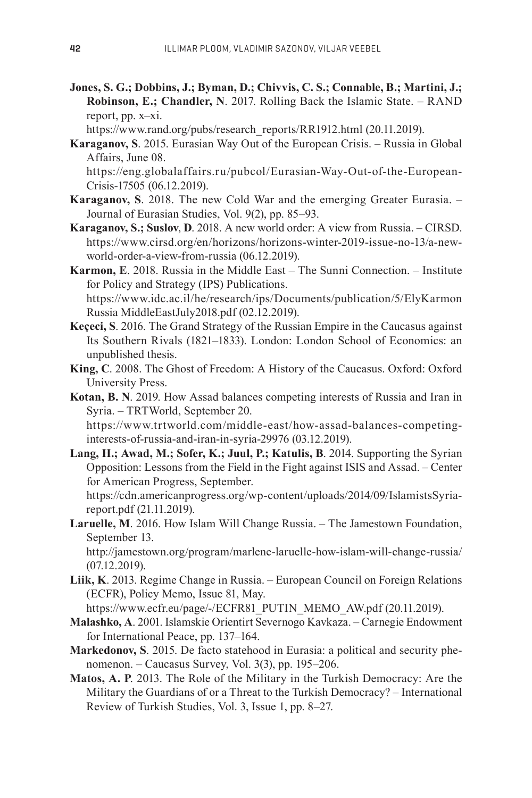**Jones, S. G.; Dobbins, J.; Byman, D.; Chivvis, C. S.; Connable, B.; Martini, J.; Robinson, E.; Chandler, N**. 2017. Rolling Back the Islamic State. – RAND report, pp. x–xi.

https://www.rand.org/pubs/research\_reports/RR1912.html (20.11.2019).

**Karaganov, S**. 2015. Eurasian Way Out of the European Crisis. – Russia in Global Affairs, June 08.

 https://eng.globalaffairs.ru/pubcol/Eurasian-Way-Out-of-the-European-Crisis-17505 (06.12.2019).

- **Karaganov, S**. 2018. The new Cold War and the emerging Greater Eurasia. Journal of Eurasian Studies, Vol. 9(2), pp. 85–93.
- **Karaganov, S.; Suslov**, **D**. 2018. A new world order: A view from Russia. CIRSD. https://www.cirsd.org/en/horizons/horizons-winter-2019-issue-no-13/a-newworld-order-a-view-from-russia (06.12.2019).
- **Karmon, E**. 2018. Russia in the Middle East The Sunni Connection. Institute for Policy and Strategy (IPS) Publications. https://www.idc.ac.il/he/research/ips/Documents/publication/5/ElyKarmon Russia MiddleEastJuly2018.pdf (02.12.2019).
- **Keçeci, S**. 2016. The Grand Strategy of the Russian Empire in the Caucasus against Its Southern Rivals (1821–1833). London: London School of Economics: an unpublished thesis.
- **King, C**. 2008. The Ghost of Freedom: A History of the Caucasus. Oxford: Oxford University Press.
- **Kotan, B. N**. 2019. How Assad balances competing interests of Russia and Iran in Syria. – TRTWorld, September 20.

 https://www.trtworld.com/middle-east/how-assad-balances-competinginterests-of-russia-and-iran-in-syria-29976 (03.12.2019).

**Lang, H.; Awad, M.; Sofer, K.; Juul, P.; Katulis, B**. 2014. Supporting the Syrian Opposition: Lessons from the Field in the Fight against ISIS and Assad. – Center for American Progress, September.

 https://cdn.americanprogress.org/wp-content/uploads/2014/09/IslamistsSyriareport.pdf (21.11.2019).

**Laruelle, M**. 2016. How Islam Will Change Russia. *–* The Jamestown Foundation, September 13.

 http://jamestown.org/program/marlene-laruelle-how-islam-will-change-russia/ (07.12.2019).

**Liik, K**. 2013. Regime Change in Russia. – European Council on Foreign Relations (ECFR), Policy Memo, Issue 81, May.

https://www.ecfr.eu/page/-/ECFR81\_PUTIN\_MEMO\_AW.pdf (20.11.2019).

- **Malashko, A**. 2001. Islamskie Orientirt Severnogo Kavkaza. Carnegie Endowment for International Peace, pp. 137–164.
- **Markedonov, S**. 2015. De facto statehood in Eurasia: a political and security phenomenon. – Caucasus Survey, Vol. 3(3), pp. 195–206.
- **Matos, A. P**. 2013. The Role of the Military in the Turkish Democracy: Are the Military the Guardians of or a Threat to the Turkish Democracy? – International Review of Turkish Studies, Vol. 3, Issue 1, pp. 8–27.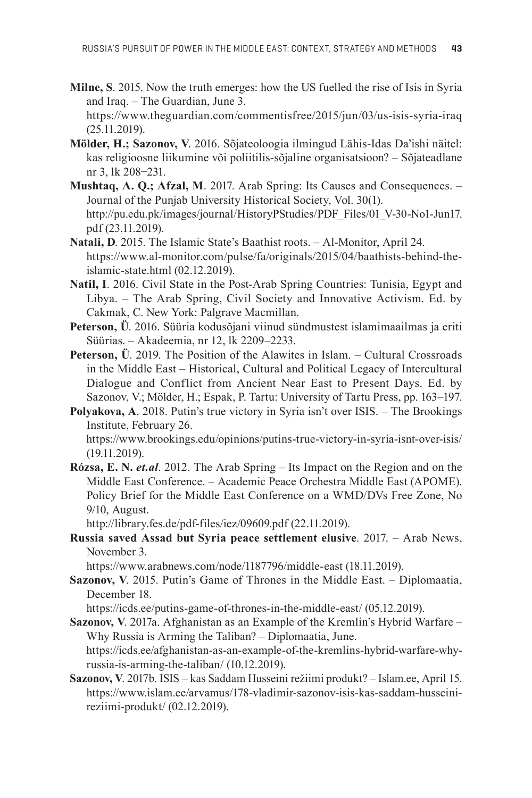**Milne, S**. 2015. Now the truth emerges: how the US fuelled the rise of Isis in Syria and Iraq. – The Guardian, June 3.

 https://www.theguardian.com/commentisfree/2015/jun/03/us-isis-syria-iraq (25.11.2019).

- **Mölder, H.; Sazonov, V**. 2016. Sõjateoloogia ilmingud Lähis-Idas Da'ishi näitel: kas religioosne liikumine või poliitilis-sõjaline organisatsioon? – Sõjateadlane nr 3, lk 208−231.
- **Mushtaq, A. Q.; Afzal, M**. 2017. Arab Spring: Its Causes and Consequences. Journal of the Punjab University Historical Society, Vol. 30(1). http://pu.edu.pk/images/journal/HistoryPStudies/PDF\_Files/01\_V-30-No1-Jun17. pdf (23.11.2019).
- **Natali, D**. 2015. The Islamic State's Baathist roots. Al-Monitor, April 24. https://www.al-monitor.com/pulse/fa/originals/2015/04/baathists-behind-theislamic-state.html (02.12.2019).
- **Natil, I**. 2016. Civil State in the Post-Arab Spring Countries: Tunisia, Egypt and Libya. – The Arab Spring, Civil Society and Innovative Activism. Ed. by Cakmak, C. New York: Palgrave Macmillan.
- **Peterson, Ü**. 2016. Süüria kodusõjani viinud sündmustest islamimaailmas ja eriti Süürias. – Akadeemia, nr 12, lk 2209–2233.
- **Peterson, Ü**. 2019. The Position of the Alawites in Islam. Cultural Crossroads in the Middle East – Historical, Cultural and Political Legacy of Intercultural Dialogue and Conflict from Ancient Near East to Present Days. Ed. by Sazonov, V.; Mölder, H.; Espak, P. Tartu: University of Tartu Press, pp. 163–197.
- **Polyakova, A**. 2018. Putin's true victory in Syria isn't over ISIS. The Brookings Institute, February 26. https://www.brookings.edu/opinions/putins-true-victory-in-syria-isnt-over-isis/ (19.11.2019).
- **Rózsa, E. N.** *et.al*. 2012. The Arab Spring Its Impact on the Region and on the Middle East Conference. – Academic Peace Orchestra Middle East (APOME). Policy Brief for the Middle East Conference on a WMD/DVs Free Zone, No 9/10, August.

http://library.fes.de/pdf-files/iez/09609.pdf (22.11.2019).

**Russia saved Assad but Syria peace settlement elusive**. 2017. – Arab News, November 3.

https://www.arabnews.com/node/1187796/middle-east (18.11.2019).

**Sazonov, V**. 2015. Putin's Game of Thrones in the Middle East. – Diplomaatia, December 18.

https://icds.ee/putins-game-of-thrones-in-the-middle-east/ (05.12.2019).

**Sazonov, V**. 2017a. Afghanistan as an Example of the Kremlin's Hybrid Warfare – Why Russia is Arming the Taliban? – Diplomaatia, June. https://icds.ee/afghanistan-as-an-example-of-the-kremlins-hybrid-warfare-why-

russia-is-arming-the-taliban/ (10.12.2019).

**Sazonov, V**. 2017b. ISIS – kas Saddam Husseini režiimi produkt? – Islam.ee, April 15. https://www.islam.ee/arvamus/178-vladimir-sazonov-isis-kas-saddam-husseinireziimi-produkt/ (02.12.2019).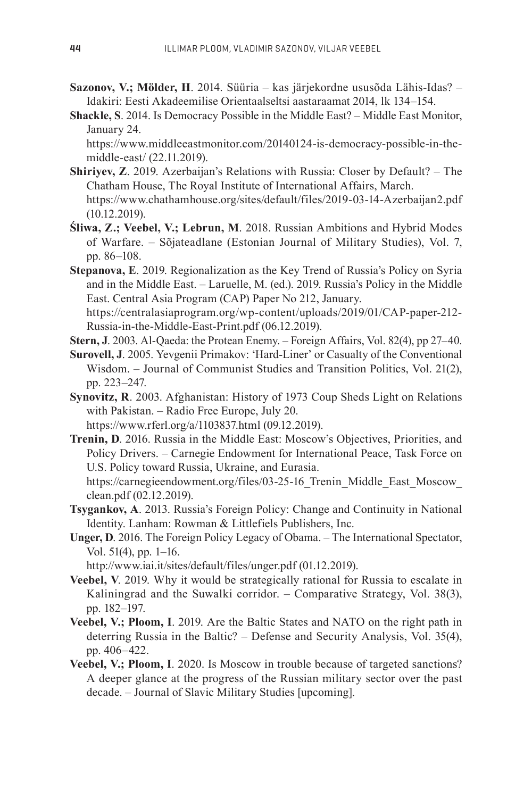- **Sazonov, V.; Mölder, H**. 2014. Süüria kas järjekordne ususõda Lähis-Idas? Idakiri: Eesti Akadeemilise Orientaalseltsi aastaraamat 2014, lk 134–154.
- **Shackle, S**. 2014. Is Democracy Possible in the Middle East? Middle East Monitor, January 24.

 https://www.middleeastmonitor.com/20140124-is-democracy-possible-in-themiddle-east/ (22.11.2019).

- **Shiriyev, Z**. 2019. Azerbaijan's Relations with Russia: Closer by Default? The Chatham House, The Royal Institute of International Affairs, March. https://www.chathamhouse.org/sites/default/files/2019-03-14-Azerbaijan2.pdf (10.12.2019).
- **Śliwa, Z.; Veebel, V.; Lebrun, M**. 2018. Russian Ambitions and Hybrid Modes of Warfare. – Sõjateadlane (Estonian Journal of Military Studies), Vol. 7, pp. 86–108.

**Stepanova, E**. 2019. Regionalization as the Key Trend of Russia's Policy on Syria and in the Middle East. – Laruelle, M. (ed.). 2019. Russia's Policy in the Middle East. Central Asia Program (CAP) Paper No 212, January. https://centralasiaprogram.org/wp-content/uploads/2019/01/CAP-paper-212-

Russia-in-the-Middle-East-Print.pdf (06.12.2019).

- **Stern, J**. 2003. Al-Qaeda: the Protean Enemy. Foreign Affairs, Vol. 82(4), pp 27–40.
- **Surovell, J**. 2005. Yevgenii Primakov: 'Hard-Liner' or Casualty of the Conventional Wisdom. – Journal of Communist Studies and Transition Politics, Vol. 21(2), pp. 223–247.
- **Synovitz, R**. 2003. Afghanistan: History of 1973 Coup Sheds Light on Relations with Pakistan. – Radio Free Europe, July 20.

https://www.rferl.org/a/1103837.html (09.12.2019).

**Trenin, D**. 2016. Russia in the Middle East: Moscow's Objectives, Priorities, and Policy Drivers. – Carnegie Endowment for International Peace, Task Force on U.S. Policy toward Russia, Ukraine, and Eurasia.

https://carnegieendowment.org/files/03-25-16 Trenin Middle East Moscow clean.pdf (02.12.2019).

- **Tsygankov, A**. 2013. Russia's Foreign Policy: Change and Continuity in National Identity. Lanham: Rowman & Littlefiels Publishers, Inc.
- **Unger, D**. 2016. The Foreign Policy Legacy of Obama. The International Spectator, Vol. 51(4), pp. 1–16.

http://www.iai.it/sites/default/files/unger.pdf (01.12.2019).

- **Veebel, V**. 2019. Why it would be strategically rational for Russia to escalate in Kaliningrad and the Suwalki corridor. – Comparative Strategy, Vol. 38(3), pp. 182–197.
- **Veebel, V.; Ploom, I**. 2019. Are the Baltic States and NATO on the right path in deterring Russia in the Baltic? – Defense and Security Analysis, Vol. 35(4), pp. 406–422.
- **Veebel, V.; Ploom, I**. 2020. Is Moscow in trouble because of targeted sanctions? A deeper glance at the progress of the Russian military sector over the past decade. – Journal of Slavic Military Studies [upcoming].